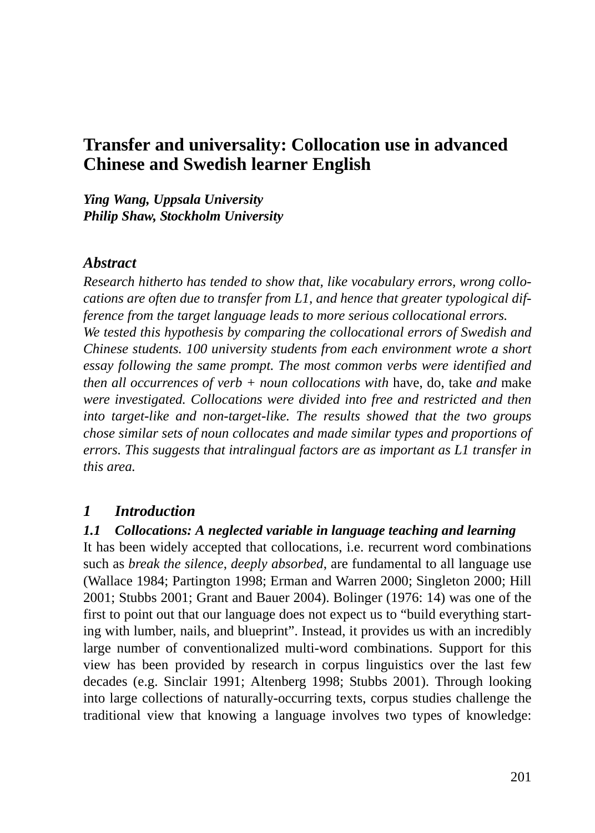# **Transfer and universality: Collocation use in advanced Chinese and Swedish learner English**

*Ying Wang, Uppsala University Philip Shaw, Stockholm University*

### *Abstract*

*Research hitherto has tended to show that, like vocabulary errors, wrong collocations are often due to transfer from L1, and hence that greater typological difference from the target language leads to more serious collocational errors. We tested this hypothesis by comparing the collocational errors of Swedish and Chinese students. 100 university students from each environment wrote a short essay following the same prompt. The most common verbs were identified and then all occurrences of verb + noun collocations with* have, do, take *and* make *were investigated. Collocations were divided into free and restricted and then into target-like and non-target-like. The results showed that the two groups chose similar sets of noun collocates and made similar types and proportions of errors. This suggests that intralingual factors are as important as L1 transfer in this area.* 

## *1 Introduction*

#### *1.1 Collocations: A neglected variable in language teaching and learning*

It has been widely accepted that collocations, i.e. recurrent word combinations such as *break the silence*, *deeply absorbed*, are fundamental to all language use (Wallace 1984; Partington 1998; Erman and Warren 2000; Singleton 2000; Hill 2001; Stubbs 2001; Grant and Bauer 2004). Bolinger (1976: 14) was one of the first to point out that our language does not expect us to "build everything starting with lumber, nails, and blueprint". Instead, it provides us with an incredibly large number of conventionalized multi-word combinations. Support for this view has been provided by research in corpus linguistics over the last few decades (e.g. Sinclair 1991; Altenberg 1998; Stubbs 2001). Through looking into large collections of naturally-occurring texts, corpus studies challenge the traditional view that knowing a language involves two types of knowledge: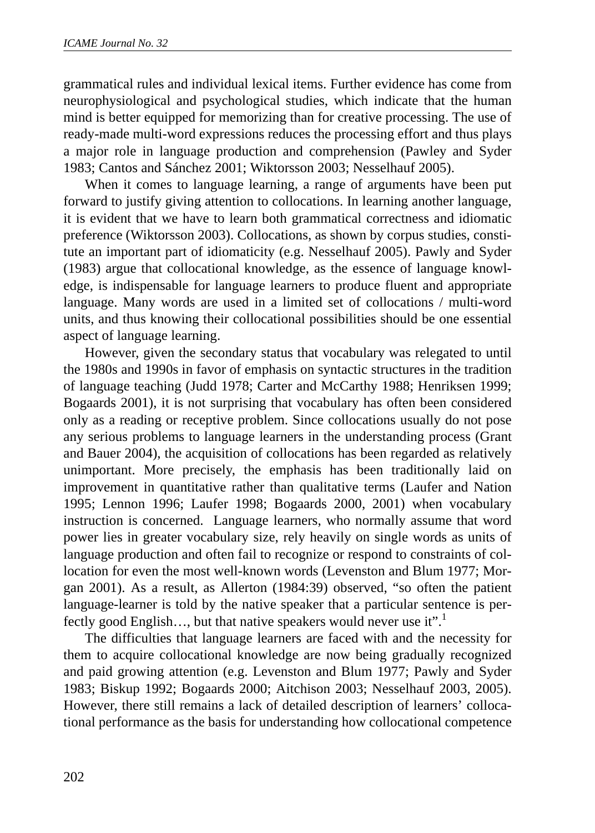grammatical rules and individual lexical items. Further evidence has come from neurophysiological and psychological studies, which indicate that the human mind is better equipped for memorizing than for creative processing. The use of ready-made multi-word expressions reduces the processing effort and thus plays a major role in language production and comprehension (Pawley and Syder 1983; Cantos and Sánchez 2001; Wiktorsson 2003; Nesselhauf 2005).

When it comes to language learning, a range of arguments have been put forward to justify giving attention to collocations. In learning another language, it is evident that we have to learn both grammatical correctness and idiomatic preference (Wiktorsson 2003). Collocations, as shown by corpus studies, constitute an important part of idiomaticity (e.g. Nesselhauf 2005). Pawly and Syder (1983) argue that collocational knowledge, as the essence of language knowledge, is indispensable for language learners to produce fluent and appropriate language. Many words are used in a limited set of collocations / multi-word units, and thus knowing their collocational possibilities should be one essential aspect of language learning.

However, given the secondary status that vocabulary was relegated to until the 1980s and 1990s in favor of emphasis on syntactic structures in the tradition of language teaching (Judd 1978; Carter and McCarthy 1988; Henriksen 1999; Bogaards 2001), it is not surprising that vocabulary has often been considered only as a reading or receptive problem. Since collocations usually do not pose any serious problems to language learners in the understanding process (Grant and Bauer 2004), the acquisition of collocations has been regarded as relatively unimportant. More precisely, the emphasis has been traditionally laid on improvement in quantitative rather than qualitative terms (Laufer and Nation 1995; Lennon 1996; Laufer 1998; Bogaards 2000, 2001) when vocabulary instruction is concerned. Language learners, who normally assume that word power lies in greater vocabulary size, rely heavily on single words as units of language production and often fail to recognize or respond to constraints of collocation for even the most well-known words (Levenston and Blum 1977; Morgan 2001). As a result, as Allerton (1984:39) observed, "so often the patient language-learner is told by the native speaker that a particular sentence is perfectly good English..., but that native speakers would never use it".<sup>1</sup>

The difficulties that language learners are faced with and the necessity for them to acquire collocational knowledge are now being gradually recognized and paid growing attention (e.g. Levenston and Blum 1977; Pawly and Syder 1983; Biskup 1992; Bogaards 2000; Aitchison 2003; Nesselhauf 2003, 2005). However, there still remains a lack of detailed description of learners' collocational performance as the basis for understanding how collocational competence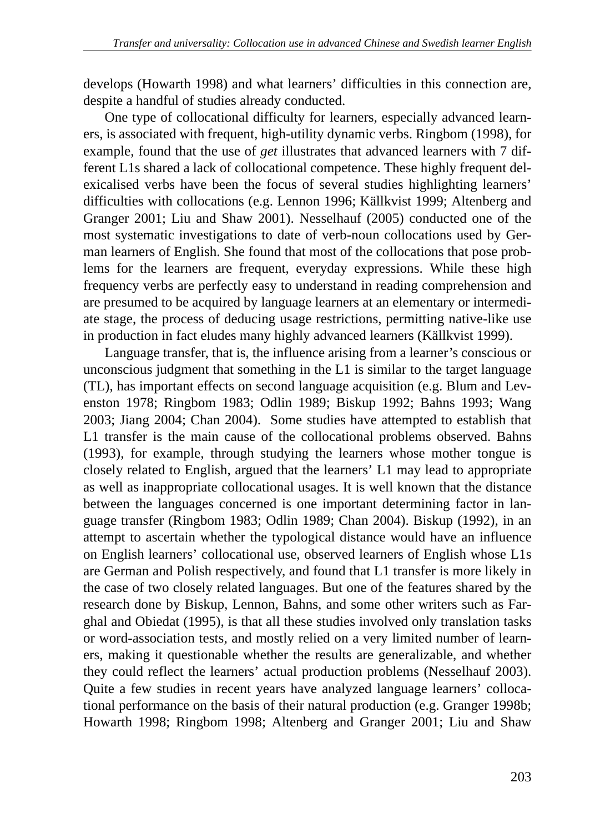develops (Howarth 1998) and what learners' difficulties in this connection are, despite a handful of studies already conducted.

One type of collocational difficulty for learners, especially advanced learners, is associated with frequent, high-utility dynamic verbs. Ringbom (1998), for example, found that the use of *get* illustrates that advanced learners with 7 different L1s shared a lack of collocational competence. These highly frequent delexicalised verbs have been the focus of several studies highlighting learners' difficulties with collocations (e.g. Lennon 1996; Källkvist 1999; Altenberg and Granger 2001; Liu and Shaw 2001). Nesselhauf (2005) conducted one of the most systematic investigations to date of verb-noun collocations used by German learners of English. She found that most of the collocations that pose problems for the learners are frequent, everyday expressions. While these high frequency verbs are perfectly easy to understand in reading comprehension and are presumed to be acquired by language learners at an elementary or intermediate stage, the process of deducing usage restrictions, permitting native-like use in production in fact eludes many highly advanced learners (Källkvist 1999).

Language transfer, that is, the influence arising from a learner's conscious or unconscious judgment that something in the L1 is similar to the target language (TL), has important effects on second language acquisition (e.g. Blum and Levenston 1978; Ringbom 1983; Odlin 1989; Biskup 1992; Bahns 1993; Wang 2003; Jiang 2004; Chan 2004). Some studies have attempted to establish that L1 transfer is the main cause of the collocational problems observed. Bahns (1993), for example, through studying the learners whose mother tongue is closely related to English, argued that the learners' L1 may lead to appropriate as well as inappropriate collocational usages. It is well known that the distance between the languages concerned is one important determining factor in language transfer (Ringbom 1983; Odlin 1989; Chan 2004). Biskup (1992), in an attempt to ascertain whether the typological distance would have an influence on English learners' collocational use, observed learners of English whose L1s are German and Polish respectively, and found that L1 transfer is more likely in the case of two closely related languages. But one of the features shared by the research done by Biskup, Lennon, Bahns, and some other writers such as Farghal and Obiedat (1995), is that all these studies involved only translation tasks or word-association tests, and mostly relied on a very limited number of learners, making it questionable whether the results are generalizable, and whether they could reflect the learners' actual production problems (Nesselhauf 2003). Quite a few studies in recent years have analyzed language learners' collocational performance on the basis of their natural production (e.g. Granger 1998b; Howarth 1998; Ringbom 1998; Altenberg and Granger 2001; Liu and Shaw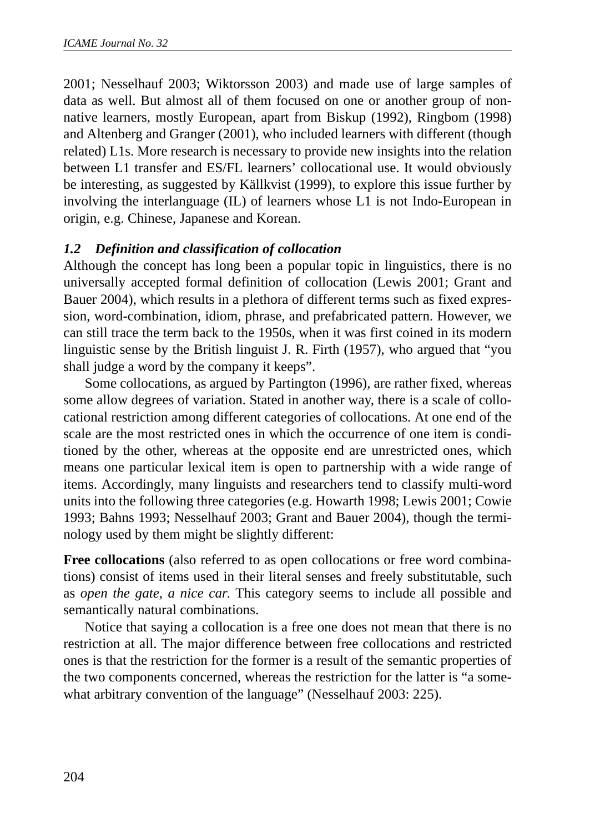2001; Nesselhauf 2003; Wiktorsson 2003) and made use of large samples of data as well. But almost all of them focused on one or another group of nonnative learners, mostly European, apart from Biskup (1992), Ringbom (1998) and Altenberg and Granger (2001), who included learners with different (though related) L1s. More research is necessary to provide new insights into the relation between L1 transfer and ES/FL learners' collocational use. It would obviously be interesting, as suggested by Källkvist (1999), to explore this issue further by involving the interlanguage (IL) of learners whose L1 is not Indo-European in origin, e.g. Chinese, Japanese and Korean.

## *1.2 Definition and classification of collocation*

Although the concept has long been a popular topic in linguistics, there is no universally accepted formal definition of collocation (Lewis 2001; Grant and Bauer 2004), which results in a plethora of different terms such as fixed expression, word-combination, idiom, phrase, and prefabricated pattern. However, we can still trace the term back to the 1950s, when it was first coined in its modern linguistic sense by the British linguist J. R. Firth (1957), who argued that "you shall judge a word by the company it keeps".

Some collocations, as argued by Partington (1996), are rather fixed, whereas some allow degrees of variation. Stated in another way, there is a scale of collocational restriction among different categories of collocations. At one end of the scale are the most restricted ones in which the occurrence of one item is conditioned by the other, whereas at the opposite end are unrestricted ones, which means one particular lexical item is open to partnership with a wide range of items. Accordingly, many linguists and researchers tend to classify multi-word units into the following three categories (e.g. Howarth 1998; Lewis 2001; Cowie 1993; Bahns 1993; Nesselhauf 2003; Grant and Bauer 2004), though the terminology used by them might be slightly different:

**Free collocations** (also referred to as open collocations or free word combinations) consist of items used in their literal senses and freely substitutable, such as *open the gate*, *a nice car*. This category seems to include all possible and semantically natural combinations.

Notice that saying a collocation is a free one does not mean that there is no restriction at all. The major difference between free collocations and restricted ones is that the restriction for the former is a result of the semantic properties of the two components concerned, whereas the restriction for the latter is "a somewhat arbitrary convention of the language" (Nesselhauf 2003: 225).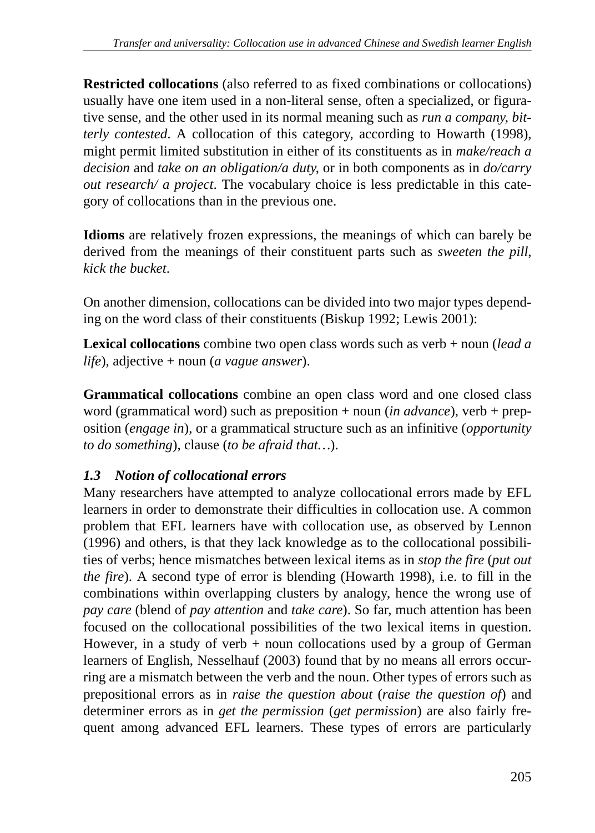**Restricted collocations** (also referred to as fixed combinations or collocations) usually have one item used in a non-literal sense, often a specialized, or figurative sense, and the other used in its normal meaning such as *run a company*, *bitterly contested*. A collocation of this category, according to Howarth (1998), might permit limited substitution in either of its constituents as in *make/reach a decision* and *take on an obligation/a duty*, or in both components as in *do/carry out research/ a project*. The vocabulary choice is less predictable in this category of collocations than in the previous one.

**Idioms** are relatively frozen expressions, the meanings of which can barely be derived from the meanings of their constituent parts such as *sweeten the pill*, *kick the bucket*.

On another dimension, collocations can be divided into two major types depending on the word class of their constituents (Biskup 1992; Lewis 2001):

**Lexical collocations** combine two open class words such as verb + noun (*lead a life*), adjective + noun (*a vague answer*).

**Grammatical collocations** combine an open class word and one closed class word (grammatical word) such as preposition + noun (*in advance*), verb + preposition (*engage in*), or a grammatical structure such as an infinitive (*opportunity to do something*), clause (*to be afraid that…*).

# *1.3 Notion of collocational errors*

Many researchers have attempted to analyze collocational errors made by EFL learners in order to demonstrate their difficulties in collocation use. A common problem that EFL learners have with collocation use, as observed by Lennon (1996) and others, is that they lack knowledge as to the collocational possibilities of verbs; hence mismatches between lexical items as in *stop the fire* (*put out the fire*). A second type of error is blending (Howarth 1998), i.e. to fill in the combinations within overlapping clusters by analogy, hence the wrong use of *pay care* (blend of *pay attention* and *take care*). So far, much attention has been focused on the collocational possibilities of the two lexical items in question. However, in a study of verb  $+$  noun collocations used by a group of German learners of English, Nesselhauf (2003) found that by no means all errors occurring are a mismatch between the verb and the noun. Other types of errors such as prepositional errors as in *raise the question about* (*raise the question of*) and determiner errors as in *get the permission* (*get permission*) are also fairly frequent among advanced EFL learners. These types of errors are particularly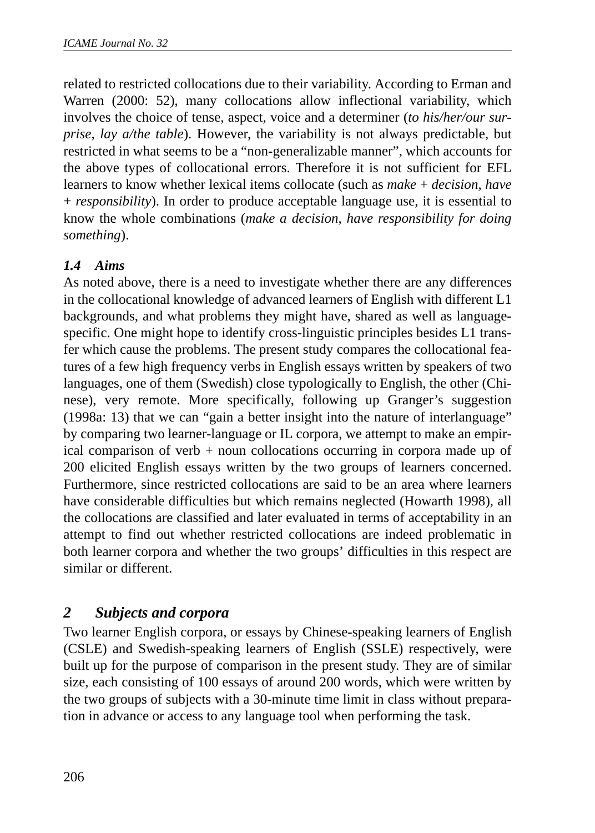related to restricted collocations due to their variability. According to Erman and Warren (2000: 52), many collocations allow inflectional variability, which involves the choice of tense, aspect, voice and a determiner (*to his/her/our surprise, lay a/the table*). However, the variability is not always predictable, but restricted in what seems to be a "non-generalizable manner", which accounts for the above types of collocational errors. Therefore it is not sufficient for EFL learners to know whether lexical items collocate (such as *make* + *decision*, *have* + *responsibility*). In order to produce acceptable language use, it is essential to know the whole combinations (*make a decision*, *have responsibility for doing something*).

## *1.4 Aims*

As noted above, there is a need to investigate whether there are any differences in the collocational knowledge of advanced learners of English with different L1 backgrounds, and what problems they might have, shared as well as languagespecific. One might hope to identify cross-linguistic principles besides L1 transfer which cause the problems. The present study compares the collocational features of a few high frequency verbs in English essays written by speakers of two languages, one of them (Swedish) close typologically to English, the other (Chinese), very remote. More specifically, following up Granger's suggestion (1998a: 13) that we can "gain a better insight into the nature of interlanguage" by comparing two learner-language or IL corpora, we attempt to make an empirical comparison of verb + noun collocations occurring in corpora made up of 200 elicited English essays written by the two groups of learners concerned. Furthermore, since restricted collocations are said to be an area where learners have considerable difficulties but which remains neglected (Howarth 1998), all the collocations are classified and later evaluated in terms of acceptability in an attempt to find out whether restricted collocations are indeed problematic in both learner corpora and whether the two groups' difficulties in this respect are similar or different.

## *2 Subjects and corpora*

Two learner English corpora, or essays by Chinese-speaking learners of English (CSLE) and Swedish-speaking learners of English (SSLE) respectively, were built up for the purpose of comparison in the present study. They are of similar size, each consisting of 100 essays of around 200 words, which were written by the two groups of subjects with a 30-minute time limit in class without preparation in advance or access to any language tool when performing the task.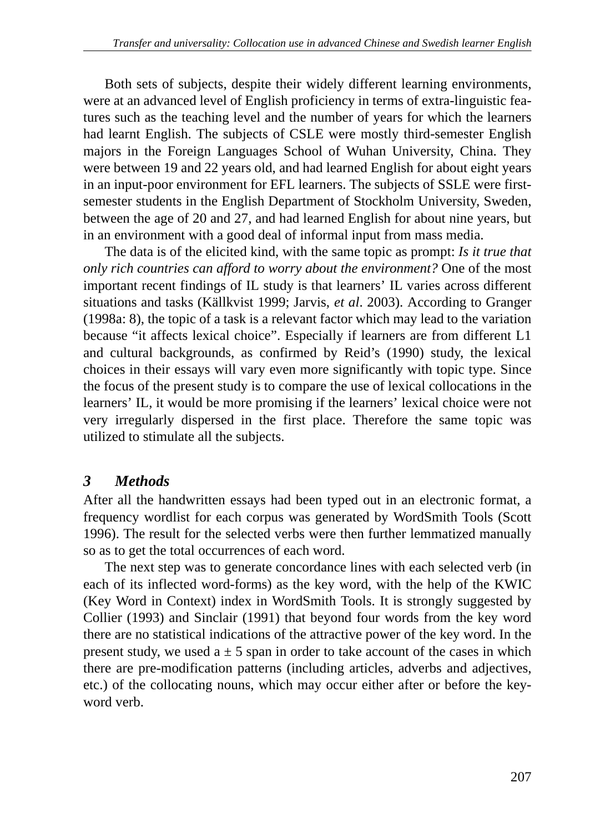Both sets of subjects, despite their widely different learning environments, were at an advanced level of English proficiency in terms of extra-linguistic features such as the teaching level and the number of years for which the learners had learnt English. The subjects of CSLE were mostly third-semester English majors in the Foreign Languages School of Wuhan University, China. They were between 19 and 22 years old, and had learned English for about eight years in an input-poor environment for EFL learners. The subjects of SSLE were firstsemester students in the English Department of Stockholm University, Sweden, between the age of 20 and 27, and had learned English for about nine years, but in an environment with a good deal of informal input from mass media.

The data is of the elicited kind, with the same topic as prompt: *Is it true that only rich countries can afford to worry about the environment?* One of the most important recent findings of IL study is that learners' IL varies across different situations and tasks (Källkvist 1999; Jarvis, *et al*. 2003). According to Granger (1998a: 8), the topic of a task is a relevant factor which may lead to the variation because "it affects lexical choice". Especially if learners are from different L1 and cultural backgrounds, as confirmed by Reid's (1990) study, the lexical choices in their essays will vary even more significantly with topic type. Since the focus of the present study is to compare the use of lexical collocations in the learners' IL, it would be more promising if the learners' lexical choice were not very irregularly dispersed in the first place. Therefore the same topic was utilized to stimulate all the subjects.

# *3 Methods*

After all the handwritten essays had been typed out in an electronic format, a frequency wordlist for each corpus was generated by WordSmith Tools (Scott 1996). The result for the selected verbs were then further lemmatized manually so as to get the total occurrences of each word.

The next step was to generate concordance lines with each selected verb (in each of its inflected word-forms) as the key word, with the help of the KWIC (Key Word in Context) index in WordSmith Tools. It is strongly suggested by Collier (1993) and Sinclair (1991) that beyond four words from the key word there are no statistical indications of the attractive power of the key word. In the present study, we used  $a \pm 5$  span in order to take account of the cases in which there are pre-modification patterns (including articles, adverbs and adjectives, etc.) of the collocating nouns, which may occur either after or before the keyword verb.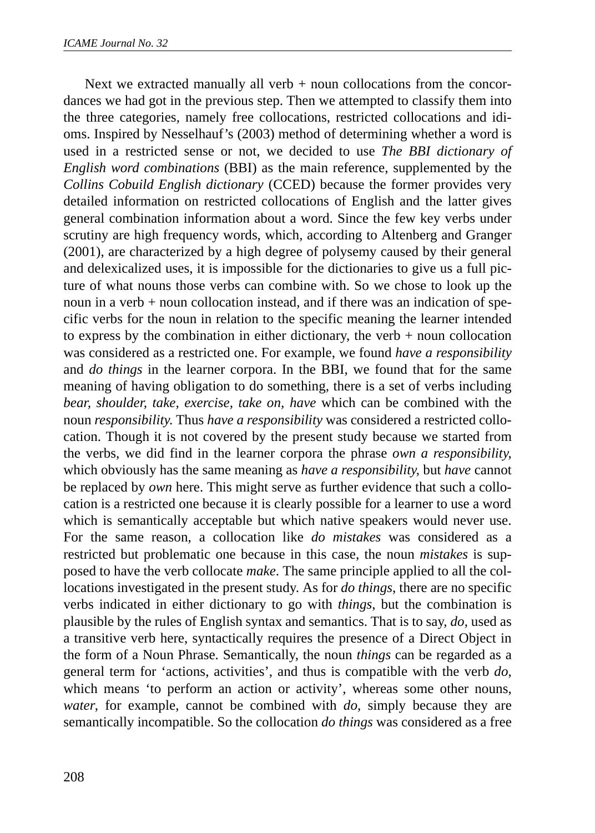Next we extracted manually all verb  $+$  noun collocations from the concordances we had got in the previous step. Then we attempted to classify them into the three categories, namely free collocations, restricted collocations and idioms. Inspired by Nesselhauf's (2003) method of determining whether a word is used in a restricted sense or not, we decided to use *The BBI dictionary of English word combinations* (BBI) as the main reference, supplemented by the *Collins Cobuild English dictionary* (CCED) because the former provides very detailed information on restricted collocations of English and the latter gives general combination information about a word. Since the few key verbs under scrutiny are high frequency words, which, according to Altenberg and Granger (2001), are characterized by a high degree of polysemy caused by their general and delexicalized uses, it is impossible for the dictionaries to give us a full picture of what nouns those verbs can combine with. So we chose to look up the noun in a verb + noun collocation instead, and if there was an indication of specific verbs for the noun in relation to the specific meaning the learner intended to express by the combination in either dictionary, the verb  $+$  noun collocation was considered as a restricted one. For example, we found *have a responsibility* and *do things* in the learner corpora. In the BBI, we found that for the same meaning of having obligation to do something, there is a set of verbs including *bear, shoulder, take, exercise, take on, have* which can be combined with the noun *responsibility*. Thus *have a responsibility* was considered a restricted collocation. Though it is not covered by the present study because we started from the verbs, we did find in the learner corpora the phrase *own a responsibility*, which obviously has the same meaning as *have a responsibility*, but *have* cannot be replaced by *own* here. This might serve as further evidence that such a collocation is a restricted one because it is clearly possible for a learner to use a word which is semantically acceptable but which native speakers would never use. For the same reason, a collocation like *do mistakes* was considered as a restricted but problematic one because in this case, the noun *mistakes* is supposed to have the verb collocate *make*. The same principle applied to all the collocations investigated in the present study. As for *do things*, there are no specific verbs indicated in either dictionary to go with *things*, but the combination is plausible by the rules of English syntax and semantics. That is to say, *do*, used as a transitive verb here, syntactically requires the presence of a Direct Object in the form of a Noun Phrase. Semantically, the noun *things* can be regarded as a general term for 'actions, activities', and thus is compatible with the verb *do*, which means 'to perform an action or activity', whereas some other nouns, *water*, for example, cannot be combined with *do*, simply because they are semantically incompatible. So the collocation *do things* was considered as a free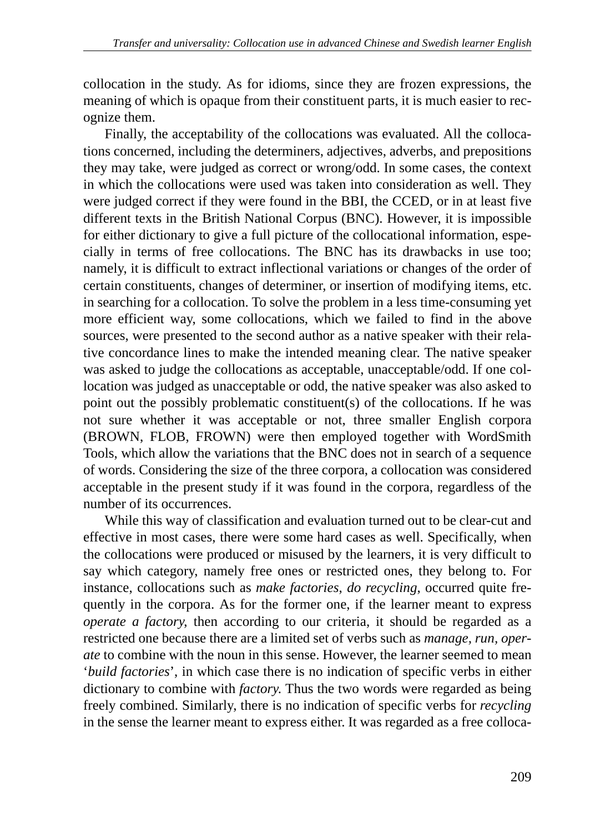collocation in the study. As for idioms, since they are frozen expressions, the meaning of which is opaque from their constituent parts, it is much easier to recognize them.

Finally, the acceptability of the collocations was evaluated. All the collocations concerned, including the determiners, adjectives, adverbs, and prepositions they may take, were judged as correct or wrong/odd. In some cases, the context in which the collocations were used was taken into consideration as well. They were judged correct if they were found in the BBI, the CCED, or in at least five different texts in the British National Corpus (BNC). However, it is impossible for either dictionary to give a full picture of the collocational information, especially in terms of free collocations. The BNC has its drawbacks in use too; namely, it is difficult to extract inflectional variations or changes of the order of certain constituents, changes of determiner, or insertion of modifying items, etc. in searching for a collocation. To solve the problem in a less time-consuming yet more efficient way, some collocations, which we failed to find in the above sources, were presented to the second author as a native speaker with their relative concordance lines to make the intended meaning clear. The native speaker was asked to judge the collocations as acceptable, unacceptable/odd. If one collocation was judged as unacceptable or odd, the native speaker was also asked to point out the possibly problematic constituent(s) of the collocations. If he was not sure whether it was acceptable or not, three smaller English corpora (BROWN, FLOB, FROWN) were then employed together with WordSmith Tools, which allow the variations that the BNC does not in search of a sequence of words. Considering the size of the three corpora, a collocation was considered acceptable in the present study if it was found in the corpora, regardless of the number of its occurrences.

While this way of classification and evaluation turned out to be clear-cut and effective in most cases, there were some hard cases as well. Specifically, when the collocations were produced or misused by the learners, it is very difficult to say which category, namely free ones or restricted ones, they belong to. For instance, collocations such as *make factories*, *do recycling*, occurred quite frequently in the corpora. As for the former one, if the learner meant to express *operate a factory*, then according to our criteria, it should be regarded as a restricted one because there are a limited set of verbs such as *manage, run, operate* to combine with the noun in this sense. However, the learner seemed to mean '*build factories*', in which case there is no indication of specific verbs in either dictionary to combine with *factory*. Thus the two words were regarded as being freely combined. Similarly, there is no indication of specific verbs for *recycling* in the sense the learner meant to express either. It was regarded as a free colloca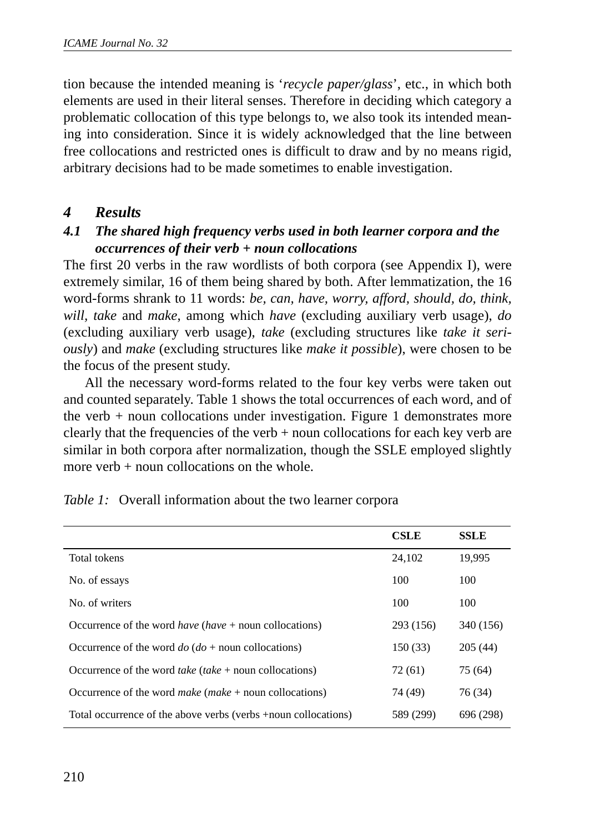tion because the intended meaning is '*recycle paper/glass*', etc., in which both elements are used in their literal senses. Therefore in deciding which category a problematic collocation of this type belongs to, we also took its intended meaning into consideration. Since it is widely acknowledged that the line between free collocations and restricted ones is difficult to draw and by no means rigid, arbitrary decisions had to be made sometimes to enable investigation.

#### *4 Results*

### *4.1 The shared high frequency verbs used in both learner corpora and the occurrences of their verb + noun collocations*

The first 20 verbs in the raw wordlists of both corpora (see Appendix I), were extremely similar, 16 of them being shared by both. After lemmatization, the 16 word-forms shrank to 11 words: *be, can, have, worry, afford, should, do, think, will, take* and *make*, among which *have* (excluding auxiliary verb usage), *do* (excluding auxiliary verb usage), *take* (excluding structures like *take it seriously*) and *make* (excluding structures like *make it possible*), were chosen to be the focus of the present study.

All the necessary word-forms related to the four key verbs were taken out and counted separately. Table 1 shows the total occurrences of each word, and of the verb + noun collocations under investigation. Figure 1 demonstrates more clearly that the frequencies of the verb  $+$  noun collocations for each key verb are similar in both corpora after normalization, though the SSLE employed slightly more verb  $+$  noun collocations on the whole.

|                                                                       | <b>CSLE</b> | <b>SSLE</b> |
|-----------------------------------------------------------------------|-------------|-------------|
| Total tokens                                                          | 24,102      | 19,995      |
| No. of essays                                                         | 100         | 100         |
| No. of writers                                                        | 100         | 100         |
| Occurrence of the word <i>have</i> ( <i>have</i> + noun collocations) | 293 (156)   | 340 (156)   |
| Occurrence of the word $do (do + noun$ collocations)                  | 150 (33)    | 205(44)     |
| Occurrence of the word <i>take</i> ( <i>take</i> + noun collocations) | 72 (61)     | 75 (64)     |
| Occurrence of the word make $(make + noun$ collocations)              | 74 (49)     | 76 (34)     |
| Total occurrence of the above verbs (verbs +noun collocations)        | 589 (299)   | 696 (298)   |

*Table 1:* Overall information about the two learner corpora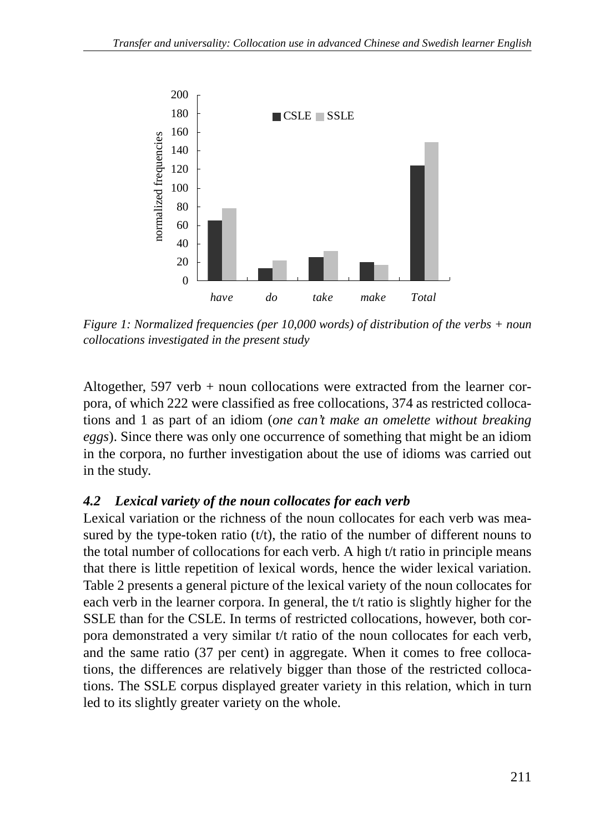

*Figure 1: Normalized frequencies (per 10,000 words) of distribution of the verbs + noun collocations investigated in the present study*

Altogether, 597 verb + noun collocations were extracted from the learner corpora, of which 222 were classified as free collocations, 374 as restricted collocations and 1 as part of an idiom (*one can't make an omelette without breaking eggs*). Since there was only one occurrence of something that might be an idiom in the corpora, no further investigation about the use of idioms was carried out in the study.

## *4.2 Lexical variety of the noun collocates for each verb*

Lexical variation or the richness of the noun collocates for each verb was measured by the type-token ratio  $(t/t)$ , the ratio of the number of different nouns to the total number of collocations for each verb. A high t/t ratio in principle means that there is little repetition of lexical words, hence the wider lexical variation. Table 2 presents a general picture of the lexical variety of the noun collocates for each verb in the learner corpora. In general, the t/t ratio is slightly higher for the SSLE than for the CSLE. In terms of restricted collocations, however, both corpora demonstrated a very similar t/t ratio of the noun collocates for each verb, and the same ratio (37 per cent) in aggregate. When it comes to free collocations, the differences are relatively bigger than those of the restricted collocations. The SSLE corpus displayed greater variety in this relation, which in turn led to its slightly greater variety on the whole.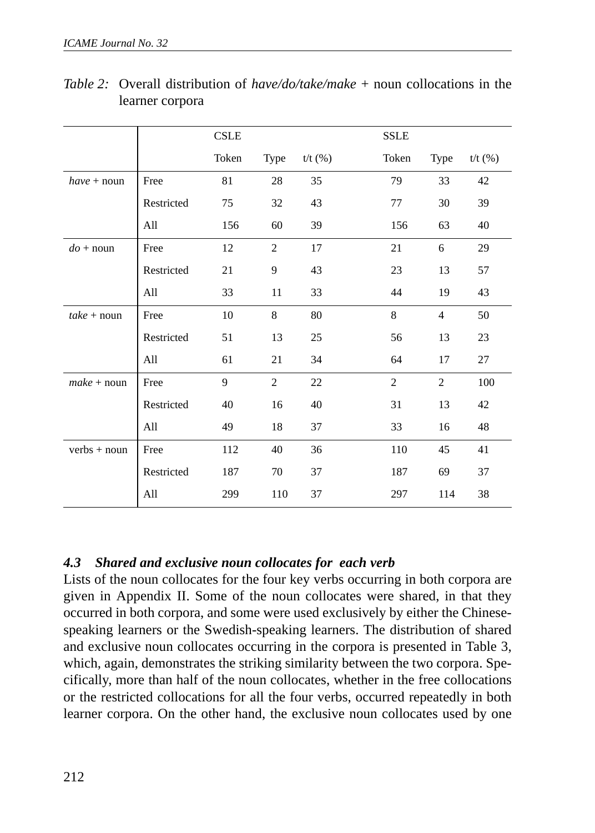|                    |            | <b>CSLE</b> |                |         | <b>SSLE</b>    |                |         |
|--------------------|------------|-------------|----------------|---------|----------------|----------------|---------|
|                    |            | Token       | Type           | t/t (%) | Token          | Type           | t/t (%) |
| $have + noun$      | Free       | 81          | 28             | 35      | 79             | 33             | 42      |
|                    | Restricted | 75          | 32             | 43      | 77             | 30             | 39      |
|                    | All        | 156         | 60             | 39      | 156            | 63             | 40      |
| $do + \text{noun}$ | Free       | 12          | 2              | 17      | 21             | 6              | 29      |
|                    | Restricted | 21          | 9              | 43      | 23             | 13             | 57      |
|                    | All        | 33          | 11             | 33      | 44             | 19             | 43      |
| $take + noun$      | Free       | 10          | 8              | 80      | 8              | 4              | 50      |
|                    | Restricted | 51          | 13             | 25      | 56             | 13             | 23      |
|                    | All        | 61          | 21             | 34      | 64             | 17             | 27      |
| $make + noun$      | Free       | 9           | $\overline{c}$ | 22      | $\overline{c}$ | $\overline{c}$ | 100     |
|                    | Restricted | 40          | 16             | 40      | 31             | 13             | 42      |
|                    | All        | 49          | 18             | 37      | 33             | 16             | 48      |
| verbs + noun       | Free       | 112         | 40             | 36      | 110            | 45             | 41      |
|                    | Restricted | 187         | 70             | 37      | 187            | 69             | 37      |
|                    | All        | 299         | 110            | 37      | 297            | 114            | 38      |

*Table 2:* Overall distribution of *have/do/take/make* + noun collocations in the learner corpora

#### *4.3 Shared and exclusive noun collocates for each verb*

Lists of the noun collocates for the four key verbs occurring in both corpora are given in Appendix II. Some of the noun collocates were shared, in that they occurred in both corpora, and some were used exclusively by either the Chinesespeaking learners or the Swedish-speaking learners. The distribution of shared and exclusive noun collocates occurring in the corpora is presented in Table 3, which, again, demonstrates the striking similarity between the two corpora. Specifically, more than half of the noun collocates, whether in the free collocations or the restricted collocations for all the four verbs, occurred repeatedly in both learner corpora. On the other hand, the exclusive noun collocates used by one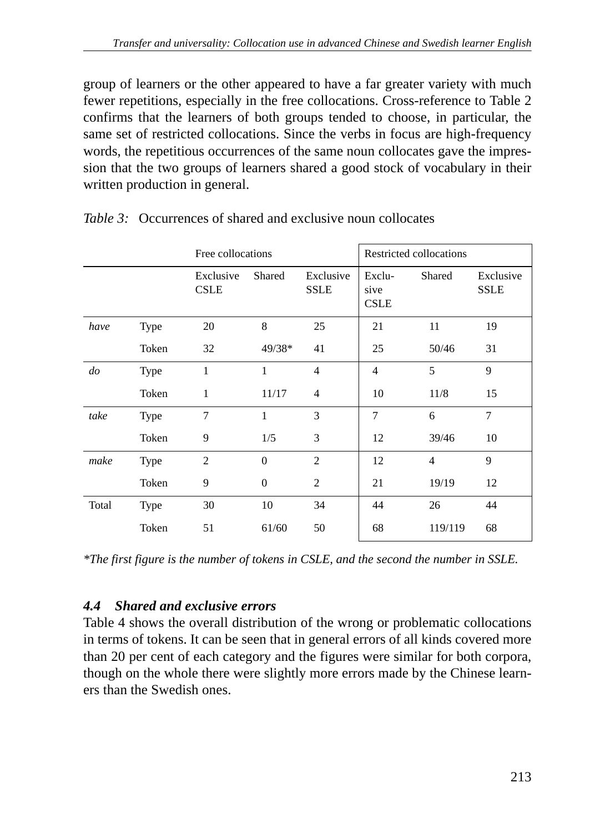group of learners or the other appeared to have a far greater variety with much fewer repetitions, especially in the free collocations. Cross-reference to Table 2 confirms that the learners of both groups tended to choose, in particular, the same set of restricted collocations. Since the verbs in focus are high-frequency words, the repetitious occurrences of the same noun collocates gave the impression that the two groups of learners shared a good stock of vocabulary in their written production in general.

|           |       |                          | Free collocations |                          |                               | Restricted collocations |                          |  |
|-----------|-------|--------------------------|-------------------|--------------------------|-------------------------------|-------------------------|--------------------------|--|
|           |       | Exclusive<br><b>CSLE</b> | Shared            | Exclusive<br><b>SSLE</b> | Exclu-<br>sive<br><b>CSLE</b> | Shared                  | Exclusive<br><b>SSLE</b> |  |
| have      | Type  | 20                       | 8                 | 25                       | 21                            | 11                      | 19                       |  |
|           | Token | 32                       | $49/38*$          | 41                       | 25                            | 50/46                   | 31                       |  |
| $d\sigma$ | Type  | 1                        | 1                 | $\overline{4}$           | $\overline{4}$                | 5                       | 9                        |  |
|           | Token | 1                        | 11/17             | $\overline{4}$           | 10                            | 11/8                    | 15                       |  |
| take      | Type  | 7                        | 1                 | 3                        | 7                             | 6                       | 7                        |  |
|           | Token | 9                        | 1/5               | 3                        | 12                            | 39/46                   | 10                       |  |
| make      | Type  | $\overline{2}$           | $\mathbf{0}$      | 2                        | 12                            | $\overline{4}$          | 9                        |  |
|           | Token | 9                        | $\mathbf{0}$      | 2                        | 21                            | 19/19                   | 12                       |  |
| Total     | Type  | 30                       | 10                | 34                       | 44                            | 26                      | 44                       |  |
|           | Token | 51                       | 61/60             | 50                       | 68                            | 119/119                 | 68                       |  |

*Table 3:* Occurrences of shared and exclusive noun collocates

*\*The first figure is the number of tokens in CSLE, and the second the number in SSLE.*

## *4.4 Shared and exclusive errors*

Table 4 shows the overall distribution of the wrong or problematic collocations in terms of tokens. It can be seen that in general errors of all kinds covered more than 20 per cent of each category and the figures were similar for both corpora, though on the whole there were slightly more errors made by the Chinese learners than the Swedish ones.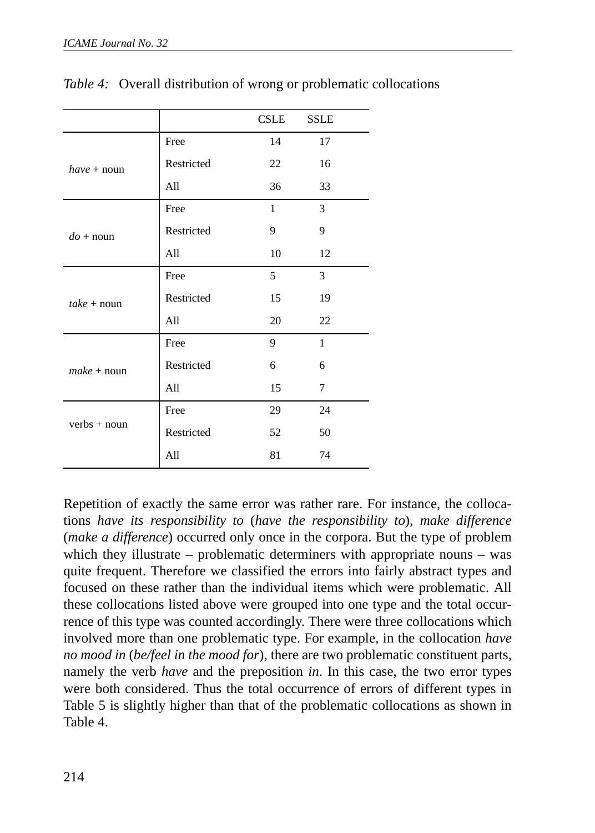|                |            | <b>CSLE</b>  | <b>SSLE</b>  |
|----------------|------------|--------------|--------------|
|                | Free       | 14           | 17           |
| $have + noun$  | Restricted | 22           | 16           |
|                | All        | 36           | 33           |
|                | Free       | $\mathbf{1}$ | 3            |
| $do + noun$    | Restricted | 9            | 9            |
|                | All        | 10           | 12           |
|                | Free       | 5            | 3            |
| $take + noun$  | Restricted | 15           | 19           |
|                | All        | 20           | 22           |
|                | Free       | 9            | $\mathbf{1}$ |
| $make + noun$  | Restricted | 6            | 6            |
|                | All        | 15           | 7            |
|                | Free       | 29           | 24           |
| $verbs + noun$ | Restricted | 52           | 50           |
|                | All        | 81           | 74           |

*Table 4:* Overall distribution of wrong or problematic collocations

Repetition of exactly the same error was rather rare. For instance, the collocations *have its responsibility to* (*have the responsibility to*), *make difference* (*make a difference*) occurred only once in the corpora. But the type of problem which they illustrate – problematic determiners with appropriate nouns – was quite frequent. Therefore we classified the errors into fairly abstract types and focused on these rather than the individual items which were problematic. All these collocations listed above were grouped into one type and the total occurrence of this type was counted accordingly. There were three collocations which involved more than one problematic type. For example, in the collocation *have no mood in* (*be/feel in the mood for*), there are two problematic constituent parts, namely the verb *have* and the preposition *in*. In this case, the two error types were both considered. Thus the total occurrence of errors of different types in Table 5 is slightly higher than that of the problematic collocations as shown in Table 4.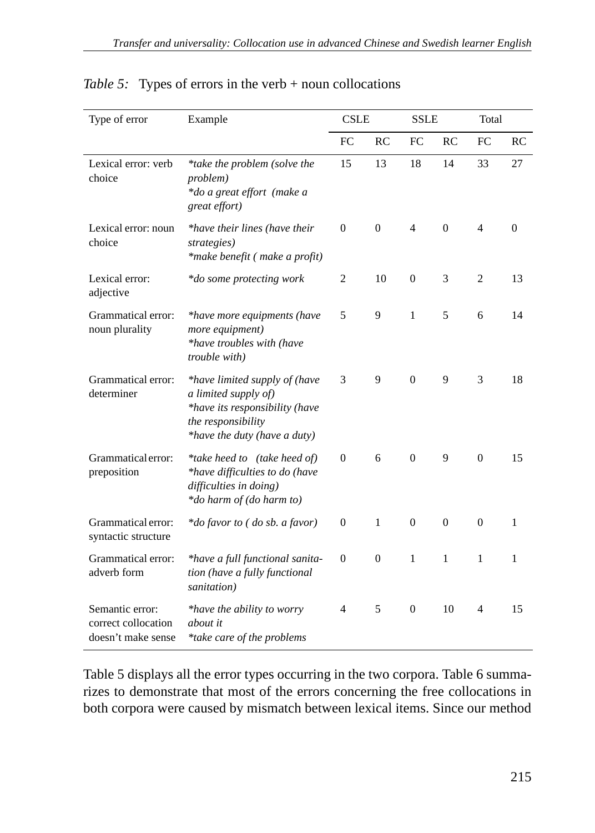| Type of error                                                | Example                                                                                                                                       | <b>CSLE</b>    |                |                | <b>SSLE</b>    |                | Total    |  |
|--------------------------------------------------------------|-----------------------------------------------------------------------------------------------------------------------------------------------|----------------|----------------|----------------|----------------|----------------|----------|--|
|                                                              |                                                                                                                                               | FC             | RC             | FC             | RC             | FC             | RC       |  |
| Lexical error: verb<br>choice                                | *take the problem (solve the<br>problem)<br>*do a great effort (make a<br>great effort)                                                       | 15             | 13             | 18             | 14             | 33             | 27       |  |
| Lexical error: noun<br>choice                                | *have their lines (have their<br>strategies)<br>*make benefit (make a profit)                                                                 | $\overline{0}$ | $\overline{0}$ | 4              | $\overline{0}$ | 4              | $\Omega$ |  |
| Lexical error:<br>adjective                                  | *do some protecting work                                                                                                                      | 2              | 10             | $\mathbf{0}$   | 3              | $\overline{c}$ | 13       |  |
| Grammatical error:<br>noun plurality                         | *have more equipments (have<br>more equipment)<br>*have troubles with (have<br>trouble with)                                                  | 5              | 9              | $\mathbf{1}$   | 5              | 6              | 14       |  |
| Grammatical error:<br>determiner                             | *have limited supply of (have<br>a limited supply of)<br>*have its responsibility (have<br>the responsibility<br>*have the duty (have a duty) | 3              | 9              | $\overline{0}$ | 9              | 3              | 18       |  |
| Grammatical error:<br>preposition                            | *take heed to (take heed of)<br>*have difficulties to do (have<br>difficulties in doing)<br>*do harm of (do harm to)                          | $\Omega$       | 6              | $\mathbf{0}$   | 9              | $\overline{0}$ | 15       |  |
| Grammatical error:<br>syntactic structure                    | *do favor to (do sb. a favor)                                                                                                                 | $\mathbf{0}$   | 1              | $\Omega$       | $\Omega$       | $\Omega$       | 1        |  |
| Grammatical error:<br>adverb form                            | *have a full functional sanita-<br>tion (have a fully functional<br>sanitation)                                                               | $\Omega$       | $\Omega$       | 1              | 1              | $\mathbf{1}$   | 1        |  |
| Semantic error:<br>correct collocation<br>doesn't make sense | *have the ability to worry<br>about it<br>*take care of the problems                                                                          | 4              | 5              | $\Omega$       | 10             | 4              | 15       |  |

## *Table 5:* Types of errors in the verb + noun collocations

Table 5 displays all the error types occurring in the two corpora. Table 6 summarizes to demonstrate that most of the errors concerning the free collocations in both corpora were caused by mismatch between lexical items. Since our method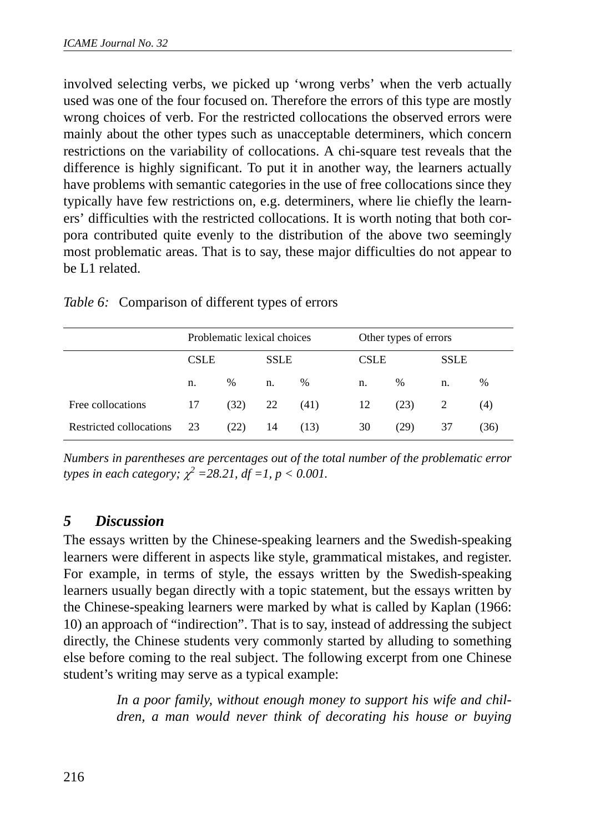involved selecting verbs, we picked up 'wrong verbs' when the verb actually used was one of the four focused on. Therefore the errors of this type are mostly wrong choices of verb. For the restricted collocations the observed errors were mainly about the other types such as unacceptable determiners, which concern restrictions on the variability of collocations. A chi-square test reveals that the difference is highly significant. To put it in another way, the learners actually have problems with semantic categories in the use of free collocations since they typically have few restrictions on, e.g. determiners, where lie chiefly the learners' difficulties with the restricted collocations. It is worth noting that both corpora contributed quite evenly to the distribution of the above two seemingly most problematic areas. That is to say, these major difficulties do not appear to be L1 related.

|                         | Problematic lexical choices |      |             | Other types of errors |             |      |             |      |
|-------------------------|-----------------------------|------|-------------|-----------------------|-------------|------|-------------|------|
|                         | <b>CSLE</b>                 |      | <b>SSLE</b> |                       | <b>CSLE</b> |      | <b>SSLE</b> |      |
|                         | n.                          | $\%$ | n.          | $\%$                  | n.          | %    | n.          | $\%$ |
| Free collocations       | 17                          | (32) | 22          | (41)                  | 12          | (23) | 2           | (4)  |
| Restricted collocations | 23                          | (22) | 14          | (13)                  | 30          | (29) | 37          | (36) |

*Table 6:* Comparison of different types of errors

*Numbers in parentheses are percentages out of the total number of the problematic error types in each category;*  $\chi^2 = 28.21$ ,  $df = I$ ,  $p < 0.001$ .

## *5 Discussion*

The essays written by the Chinese-speaking learners and the Swedish-speaking learners were different in aspects like style, grammatical mistakes, and register. For example, in terms of style, the essays written by the Swedish-speaking learners usually began directly with a topic statement, but the essays written by the Chinese-speaking learners were marked by what is called by Kaplan (1966: 10) an approach of "indirection". That is to say, instead of addressing the subject directly, the Chinese students very commonly started by alluding to something else before coming to the real subject. The following excerpt from one Chinese student's writing may serve as a typical example:

> *In a poor family, without enough money to support his wife and children, a man would never think of decorating his house or buying*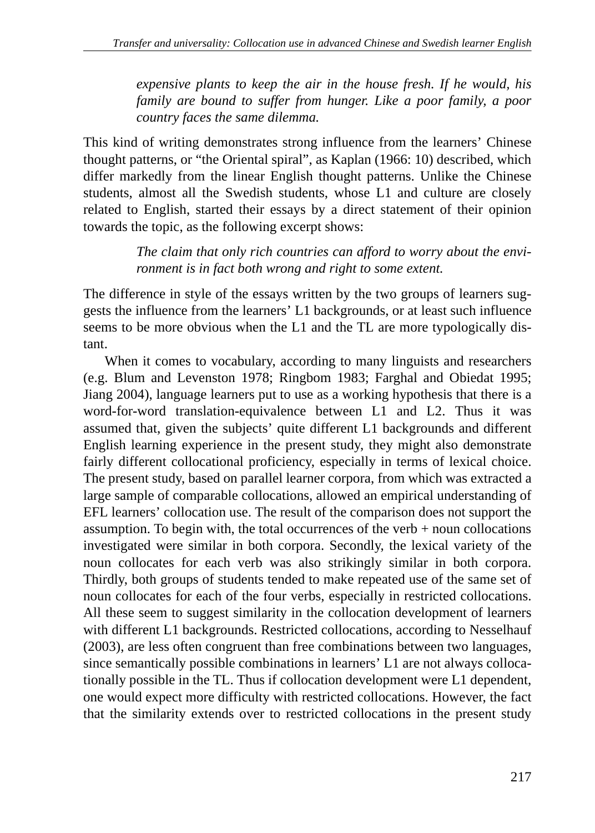*expensive plants to keep the air in the house fresh. If he would, his family are bound to suffer from hunger. Like a poor family, a poor country faces the same dilemma.*

This kind of writing demonstrates strong influence from the learners' Chinese thought patterns, or "the Oriental spiral", as Kaplan (1966: 10) described, which differ markedly from the linear English thought patterns. Unlike the Chinese students, almost all the Swedish students, whose L1 and culture are closely related to English, started their essays by a direct statement of their opinion towards the topic, as the following excerpt shows:

> *The claim that only rich countries can afford to worry about the environment is in fact both wrong and right to some extent.*

The difference in style of the essays written by the two groups of learners suggests the influence from the learners' L1 backgrounds, or at least such influence seems to be more obvious when the L1 and the TL are more typologically distant.

When it comes to vocabulary, according to many linguists and researchers (e.g. Blum and Levenston 1978; Ringbom 1983; Farghal and Obiedat 1995; Jiang 2004), language learners put to use as a working hypothesis that there is a word-for-word translation-equivalence between L1 and L2. Thus it was assumed that, given the subjects' quite different L1 backgrounds and different English learning experience in the present study, they might also demonstrate fairly different collocational proficiency, especially in terms of lexical choice. The present study, based on parallel learner corpora, from which was extracted a large sample of comparable collocations, allowed an empirical understanding of EFL learners' collocation use. The result of the comparison does not support the assumption. To begin with, the total occurrences of the verb + noun collocations investigated were similar in both corpora. Secondly, the lexical variety of the noun collocates for each verb was also strikingly similar in both corpora. Thirdly, both groups of students tended to make repeated use of the same set of noun collocates for each of the four verbs, especially in restricted collocations. All these seem to suggest similarity in the collocation development of learners with different L1 backgrounds. Restricted collocations, according to Nesselhauf (2003), are less often congruent than free combinations between two languages, since semantically possible combinations in learners' L1 are not always collocationally possible in the TL. Thus if collocation development were L1 dependent, one would expect more difficulty with restricted collocations. However, the fact that the similarity extends over to restricted collocations in the present study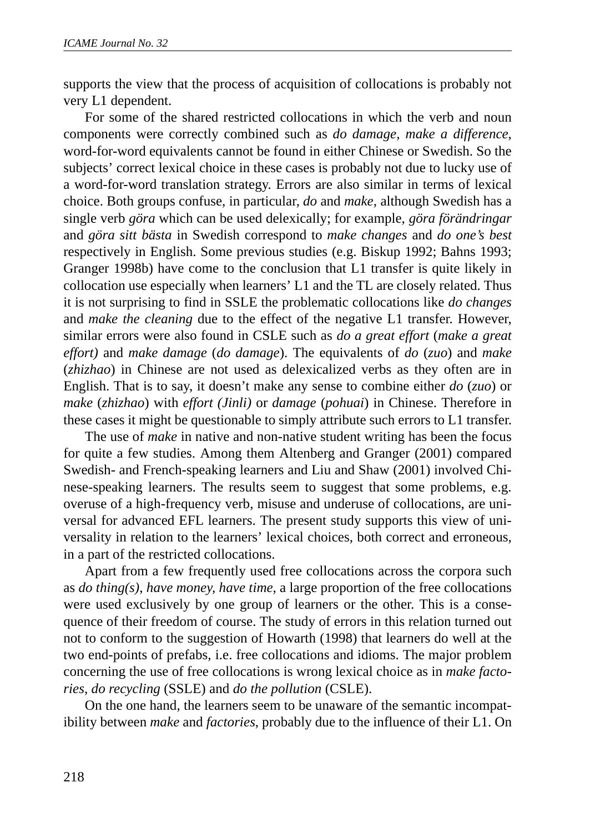supports the view that the process of acquisition of collocations is probably not very L1 dependent.

For some of the shared restricted collocations in which the verb and noun components were correctly combined such as *do damage*, *make a difference*, word-for-word equivalents cannot be found in either Chinese or Swedish. So the subjects' correct lexical choice in these cases is probably not due to lucky use of a word-for-word translation strategy. Errors are also similar in terms of lexical choice. Both groups confuse, in particular, *do* and *make*, although Swedish has a single verb *göra* which can be used delexically; for example, *göra förändringar* and *göra sitt bästa* in Swedish correspond to *make changes* and *do one's best* respectively in English. Some previous studies (e.g. Biskup 1992; Bahns 1993; Granger 1998b) have come to the conclusion that L1 transfer is quite likely in collocation use especially when learners' L1 and the TL are closely related. Thus it is not surprising to find in SSLE the problematic collocations like *do changes* and *make the cleaning* due to the effect of the negative L1 transfer. However, similar errors were also found in CSLE such as *do a great effort* (*make a great effort)* and *make damage* (*do damage*). The equivalents of *do* (*zuo*) and *make* (*zhizhao*) in Chinese are not used as delexicalized verbs as they often are in English. That is to say, it doesn't make any sense to combine either *do* (*zuo*) or *make* (*zhizhao*) with *effort (Jinli)* or *damage* (*pohuai*) in Chinese. Therefore in these cases it might be questionable to simply attribute such errors to L1 transfer.

The use of *make* in native and non-native student writing has been the focus for quite a few studies. Among them Altenberg and Granger (2001) compared Swedish- and French-speaking learners and Liu and Shaw (2001) involved Chinese-speaking learners. The results seem to suggest that some problems, e.g. overuse of a high-frequency verb, misuse and underuse of collocations, are universal for advanced EFL learners. The present study supports this view of universality in relation to the learners' lexical choices, both correct and erroneous, in a part of the restricted collocations.

Apart from a few frequently used free collocations across the corpora such as *do thing(s)*, *have money, have time*, a large proportion of the free collocations were used exclusively by one group of learners or the other. This is a consequence of their freedom of course. The study of errors in this relation turned out not to conform to the suggestion of Howarth (1998) that learners do well at the two end-points of prefabs, i.e. free collocations and idioms. The major problem concerning the use of free collocations is wrong lexical choice as in *make factories*, *do recycling* (SSLE) and *do the pollution* (CSLE).

On the one hand, the learners seem to be unaware of the semantic incompatibility between *make* and *factories*, probably due to the influence of their L1. On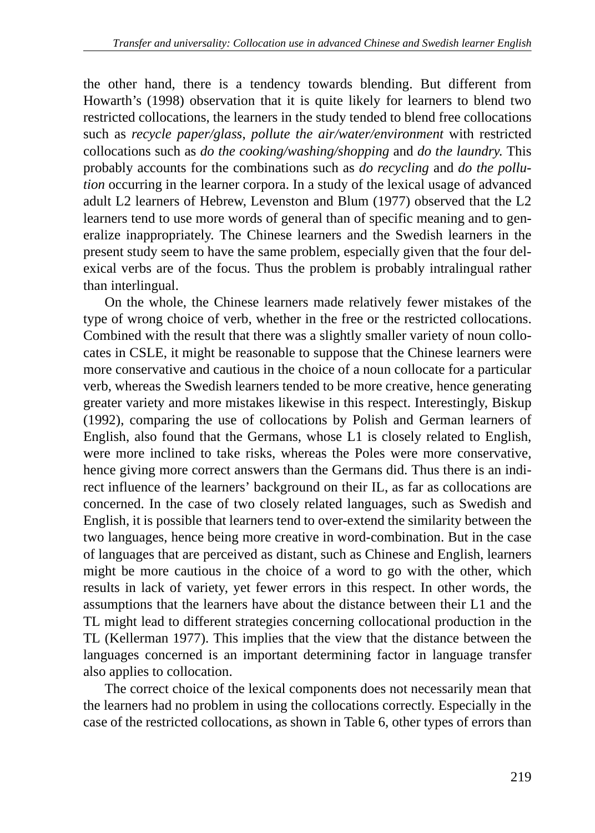the other hand, there is a tendency towards blending. But different from Howarth's (1998) observation that it is quite likely for learners to blend two restricted collocations, the learners in the study tended to blend free collocations such as *recycle paper/glass*, *pollute the air/water/environment* with restricted collocations such as *do the cooking/washing/shopping* and *do the laundry*. This probably accounts for the combinations such as *do recycling* and *do the pollution* occurring in the learner corpora. In a study of the lexical usage of advanced adult L2 learners of Hebrew, Levenston and Blum (1977) observed that the L2 learners tend to use more words of general than of specific meaning and to generalize inappropriately. The Chinese learners and the Swedish learners in the present study seem to have the same problem, especially given that the four delexical verbs are of the focus. Thus the problem is probably intralingual rather than interlingual.

On the whole, the Chinese learners made relatively fewer mistakes of the type of wrong choice of verb, whether in the free or the restricted collocations. Combined with the result that there was a slightly smaller variety of noun collocates in CSLE, it might be reasonable to suppose that the Chinese learners were more conservative and cautious in the choice of a noun collocate for a particular verb, whereas the Swedish learners tended to be more creative, hence generating greater variety and more mistakes likewise in this respect. Interestingly, Biskup (1992), comparing the use of collocations by Polish and German learners of English, also found that the Germans, whose L1 is closely related to English, were more inclined to take risks, whereas the Poles were more conservative, hence giving more correct answers than the Germans did. Thus there is an indirect influence of the learners' background on their IL, as far as collocations are concerned. In the case of two closely related languages, such as Swedish and English, it is possible that learners tend to over-extend the similarity between the two languages, hence being more creative in word-combination. But in the case of languages that are perceived as distant, such as Chinese and English, learners might be more cautious in the choice of a word to go with the other, which results in lack of variety, yet fewer errors in this respect. In other words, the assumptions that the learners have about the distance between their L1 and the TL might lead to different strategies concerning collocational production in the TL (Kellerman 1977). This implies that the view that the distance between the languages concerned is an important determining factor in language transfer also applies to collocation.

The correct choice of the lexical components does not necessarily mean that the learners had no problem in using the collocations correctly. Especially in the case of the restricted collocations, as shown in Table 6, other types of errors than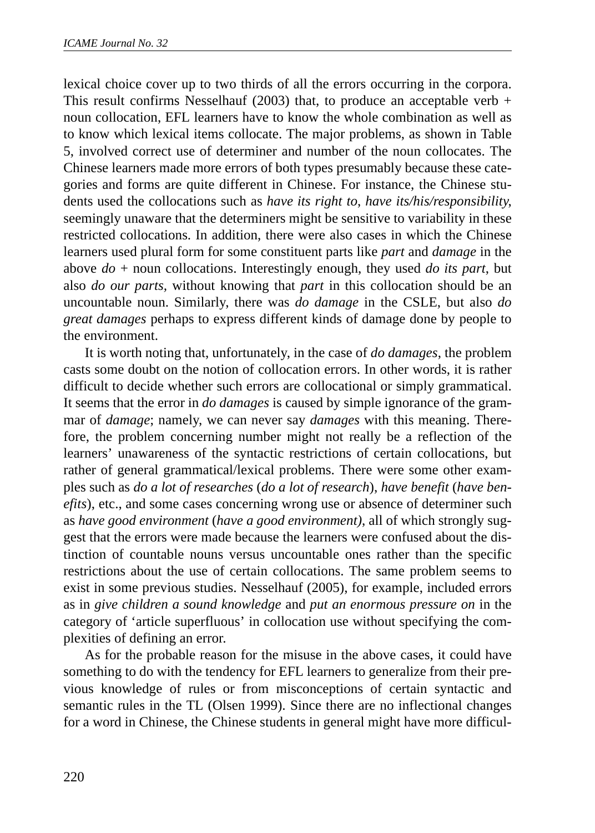lexical choice cover up to two thirds of all the errors occurring in the corpora. This result confirms Nesselhauf (2003) that, to produce an acceptable verb  $+$ noun collocation, EFL learners have to know the whole combination as well as to know which lexical items collocate. The major problems, as shown in Table 5, involved correct use of determiner and number of the noun collocates. The Chinese learners made more errors of both types presumably because these categories and forms are quite different in Chinese. For instance, the Chinese students used the collocations such as *have its right to*, *have its/his/responsibility*, seemingly unaware that the determiners might be sensitive to variability in these restricted collocations. In addition, there were also cases in which the Chinese learners used plural form for some constituent parts like *part* and *damage* in the above *do* + noun collocations. Interestingly enough, they used *do its part*, but also *do our parts,* without knowing that *part* in this collocation should be an uncountable noun. Similarly, there was *do damage* in the CSLE, but also *do great damages* perhaps to express different kinds of damage done by people to the environment.

It is worth noting that, unfortunately, in the case of *do damages*, the problem casts some doubt on the notion of collocation errors. In other words, it is rather difficult to decide whether such errors are collocational or simply grammatical. It seems that the error in *do damages* is caused by simple ignorance of the grammar of *damage*; namely, we can never say *damages* with this meaning. Therefore, the problem concerning number might not really be a reflection of the learners' unawareness of the syntactic restrictions of certain collocations, but rather of general grammatical/lexical problems. There were some other examples such as *do a lot of researches* (*do a lot of research*), *have benefit* (*have benefits*), etc., and some cases concerning wrong use or absence of determiner such as *have good environment* (*have a good environment)*, all of which strongly suggest that the errors were made because the learners were confused about the distinction of countable nouns versus uncountable ones rather than the specific restrictions about the use of certain collocations. The same problem seems to exist in some previous studies. Nesselhauf (2005), for example, included errors as in *give children a sound knowledge* and *put an enormous pressure on* in the category of 'article superfluous' in collocation use without specifying the complexities of defining an error.

As for the probable reason for the misuse in the above cases, it could have something to do with the tendency for EFL learners to generalize from their previous knowledge of rules or from misconceptions of certain syntactic and semantic rules in the TL (Olsen 1999). Since there are no inflectional changes for a word in Chinese, the Chinese students in general might have more difficul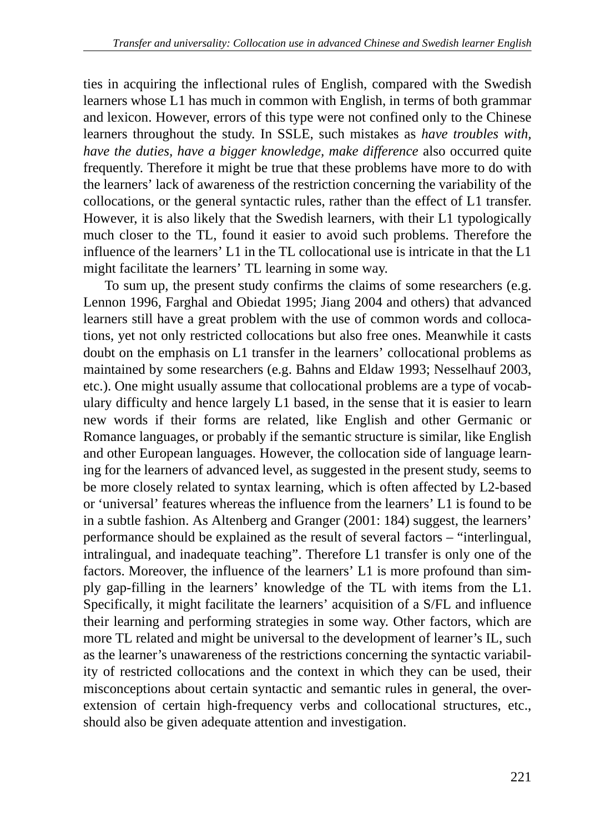ties in acquiring the inflectional rules of English, compared with the Swedish learners whose L1 has much in common with English, in terms of both grammar and lexicon. However, errors of this type were not confined only to the Chinese learners throughout the study. In SSLE, such mistakes as *have troubles with, have the duties, have a bigger knowledge, make difference* also occurred quite frequently. Therefore it might be true that these problems have more to do with the learners' lack of awareness of the restriction concerning the variability of the collocations, or the general syntactic rules, rather than the effect of L1 transfer. However, it is also likely that the Swedish learners, with their L1 typologically much closer to the TL, found it easier to avoid such problems. Therefore the influence of the learners' L1 in the TL collocational use is intricate in that the L1 might facilitate the learners' TL learning in some way.

To sum up, the present study confirms the claims of some researchers (e.g. Lennon 1996, Farghal and Obiedat 1995; Jiang 2004 and others) that advanced learners still have a great problem with the use of common words and collocations, yet not only restricted collocations but also free ones. Meanwhile it casts doubt on the emphasis on L1 transfer in the learners' collocational problems as maintained by some researchers (e.g. Bahns and Eldaw 1993; Nesselhauf 2003, etc.). One might usually assume that collocational problems are a type of vocabulary difficulty and hence largely L1 based, in the sense that it is easier to learn new words if their forms are related, like English and other Germanic or Romance languages, or probably if the semantic structure is similar, like English and other European languages. However, the collocation side of language learning for the learners of advanced level, as suggested in the present study, seems to be more closely related to syntax learning, which is often affected by L2-based or 'universal' features whereas the influence from the learners' L1 is found to be in a subtle fashion. As Altenberg and Granger (2001: 184) suggest, the learners' performance should be explained as the result of several factors – "interlingual, intralingual, and inadequate teaching". Therefore L1 transfer is only one of the factors. Moreover, the influence of the learners' L1 is more profound than simply gap-filling in the learners' knowledge of the TL with items from the L1. Specifically, it might facilitate the learners' acquisition of a S/FL and influence their learning and performing strategies in some way. Other factors, which are more TL related and might be universal to the development of learner's IL, such as the learner's unawareness of the restrictions concerning the syntactic variability of restricted collocations and the context in which they can be used, their misconceptions about certain syntactic and semantic rules in general, the overextension of certain high-frequency verbs and collocational structures, etc., should also be given adequate attention and investigation.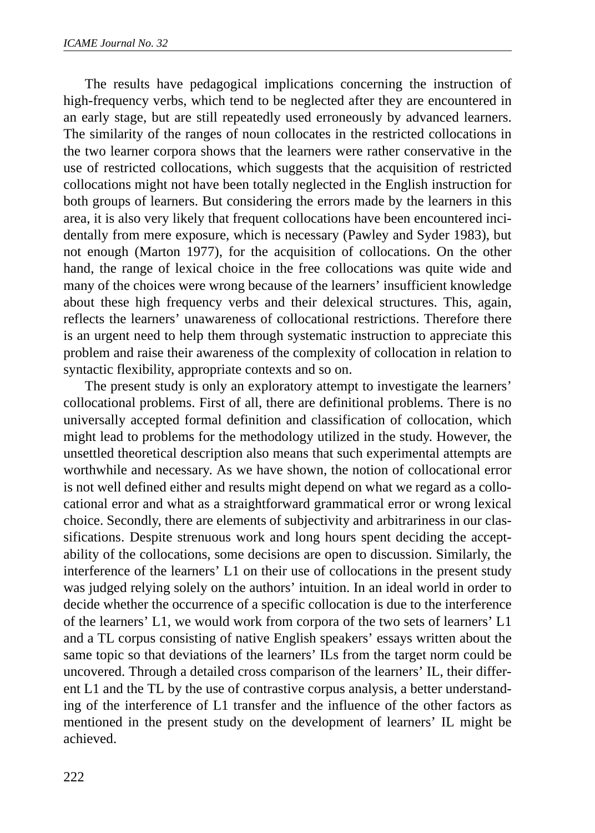The results have pedagogical implications concerning the instruction of high-frequency verbs, which tend to be neglected after they are encountered in an early stage, but are still repeatedly used erroneously by advanced learners. The similarity of the ranges of noun collocates in the restricted collocations in the two learner corpora shows that the learners were rather conservative in the use of restricted collocations, which suggests that the acquisition of restricted collocations might not have been totally neglected in the English instruction for both groups of learners. But considering the errors made by the learners in this area, it is also very likely that frequent collocations have been encountered incidentally from mere exposure, which is necessary (Pawley and Syder 1983), but not enough (Marton 1977), for the acquisition of collocations. On the other hand, the range of lexical choice in the free collocations was quite wide and many of the choices were wrong because of the learners' insufficient knowledge about these high frequency verbs and their delexical structures. This, again, reflects the learners' unawareness of collocational restrictions. Therefore there is an urgent need to help them through systematic instruction to appreciate this problem and raise their awareness of the complexity of collocation in relation to syntactic flexibility, appropriate contexts and so on.

The present study is only an exploratory attempt to investigate the learners' collocational problems. First of all, there are definitional problems. There is no universally accepted formal definition and classification of collocation, which might lead to problems for the methodology utilized in the study. However, the unsettled theoretical description also means that such experimental attempts are worthwhile and necessary. As we have shown, the notion of collocational error is not well defined either and results might depend on what we regard as a collocational error and what as a straightforward grammatical error or wrong lexical choice. Secondly, there are elements of subjectivity and arbitrariness in our classifications. Despite strenuous work and long hours spent deciding the acceptability of the collocations, some decisions are open to discussion. Similarly, the interference of the learners' L1 on their use of collocations in the present study was judged relying solely on the authors' intuition. In an ideal world in order to decide whether the occurrence of a specific collocation is due to the interference of the learners' L1, we would work from corpora of the two sets of learners' L1 and a TL corpus consisting of native English speakers' essays written about the same topic so that deviations of the learners' ILs from the target norm could be uncovered. Through a detailed cross comparison of the learners' IL, their different L1 and the TL by the use of contrastive corpus analysis, a better understanding of the interference of L1 transfer and the influence of the other factors as mentioned in the present study on the development of learners' IL might be achieved.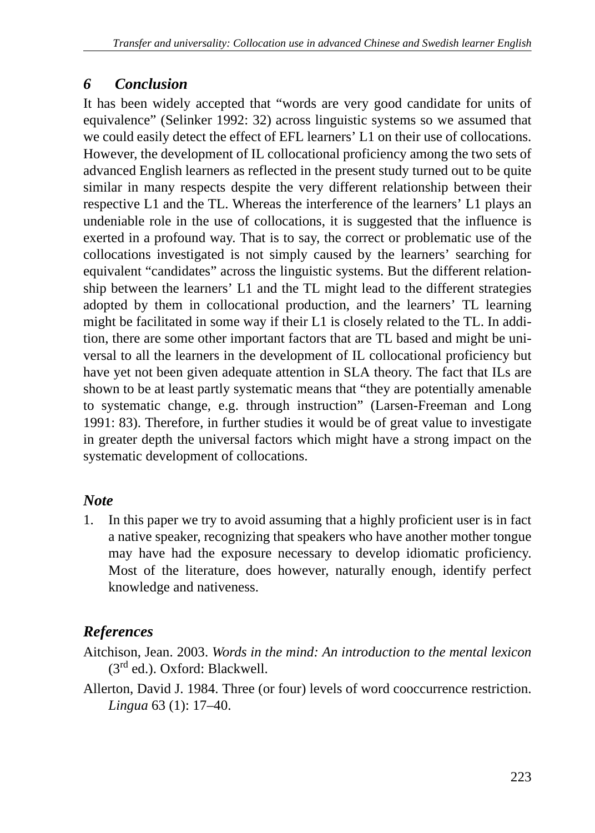## *6 Conclusion*

It has been widely accepted that "words are very good candidate for units of equivalence" (Selinker 1992: 32) across linguistic systems so we assumed that we could easily detect the effect of EFL learners' L1 on their use of collocations. However, the development of IL collocational proficiency among the two sets of advanced English learners as reflected in the present study turned out to be quite similar in many respects despite the very different relationship between their respective L1 and the TL. Whereas the interference of the learners' L1 plays an undeniable role in the use of collocations, it is suggested that the influence is exerted in a profound way. That is to say, the correct or problematic use of the collocations investigated is not simply caused by the learners' searching for equivalent "candidates" across the linguistic systems. But the different relationship between the learners' L1 and the TL might lead to the different strategies adopted by them in collocational production, and the learners' TL learning might be facilitated in some way if their L1 is closely related to the TL. In addition, there are some other important factors that are TL based and might be universal to all the learners in the development of IL collocational proficiency but have yet not been given adequate attention in SLA theory. The fact that ILs are shown to be at least partly systematic means that "they are potentially amenable to systematic change, e.g. through instruction" (Larsen-Freeman and Long 1991: 83). Therefore, in further studies it would be of great value to investigate in greater depth the universal factors which might have a strong impact on the systematic development of collocations.

# *Note*

1. In this paper we try to avoid assuming that a highly proficient user is in fact a native speaker, recognizing that speakers who have another mother tongue may have had the exposure necessary to develop idiomatic proficiency. Most of the literature, does however, naturally enough, identify perfect knowledge and nativeness.

# *References*

Aitchison, Jean. 2003. *Words in the mind: An introduction to the mental lexicon*  $(3<sup>rd</sup>$  ed.). Oxford: Blackwell.

Allerton, David J. 1984. Three (or four) levels of word cooccurrence restriction. *Lingua* 63 (1): 17–40.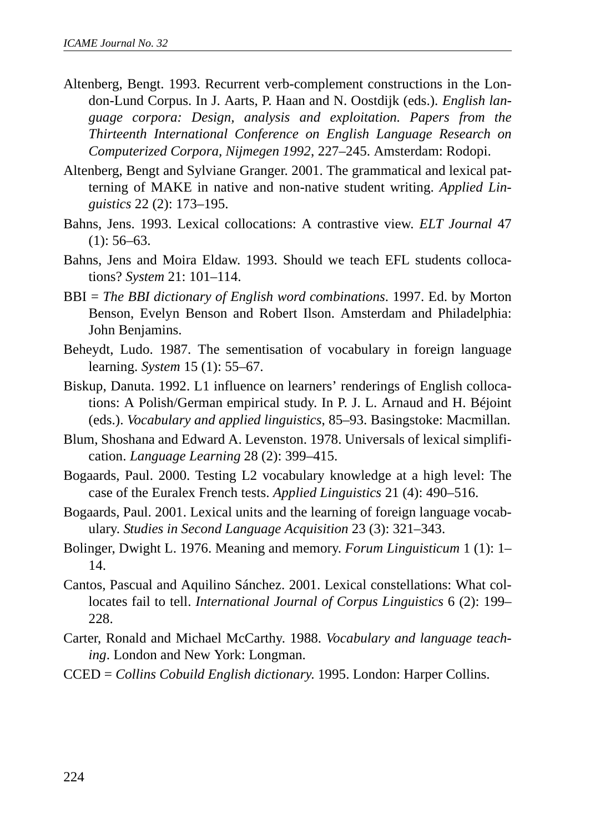- Altenberg, Bengt. 1993. Recurrent verb-complement constructions in the London-Lund Corpus. In J. Aarts, P. Haan and N. Oostdijk (eds.). *English language corpora: Design, analysis and exploitation. Papers from the Thirteenth International Conference on English Language Research on Computerized Corpora, Nijmegen 1992*, 227–245. Amsterdam: Rodopi.
- Altenberg, Bengt and Sylviane Granger. 2001. The grammatical and lexical patterning of MAKE in native and non-native student writing. *Applied Linguistics* 22 (2): 173–195.
- Bahns, Jens. 1993. Lexical collocations: A contrastive view. *ELT Journal* 47  $(1): 56-63.$
- Bahns, Jens and Moira Eldaw. 1993. Should we teach EFL students collocations? *System* 21: 101–114.
- BBI = *The BBI dictionary of English word combinations*. 1997. Ed. by Morton Benson, Evelyn Benson and Robert Ilson. Amsterdam and Philadelphia: John Benjamins.
- Beheydt, Ludo. 1987. The sementisation of vocabulary in foreign language learning. *System* 15 (1): 55–67.
- Biskup, Danuta. 1992. L1 influence on learners' renderings of English collocations: A Polish/German empirical study. In P. J. L. Arnaud and H. Béjoint (eds.). *Vocabulary and applied linguistics*, 85–93. Basingstoke: Macmillan.
- Blum, Shoshana and Edward A. Levenston. 1978. Universals of lexical simplification. *Language Learning* 28 (2): 399–415.
- Bogaards, Paul. 2000. Testing L2 vocabulary knowledge at a high level: The case of the Euralex French tests. *Applied Linguistics* 21 (4): 490–516.
- Bogaards, Paul. 2001. Lexical units and the learning of foreign language vocabulary. *Studies in Second Language Acquisition* 23 (3): 321–343.
- Bolinger, Dwight L. 1976. Meaning and memory. *Forum Linguisticum* 1 (1): 1– 14.
- Cantos, Pascual and Aquilino Sánchez. 2001. Lexical constellations: What collocates fail to tell. *International Journal of Corpus Linguistics* 6 (2): 199– 228.
- Carter, Ronald and Michael McCarthy. 1988. *Vocabulary and language teaching*. London and New York: Longman.
- CCED = *Collins Cobuild English dictionary*. 1995. London: Harper Collins.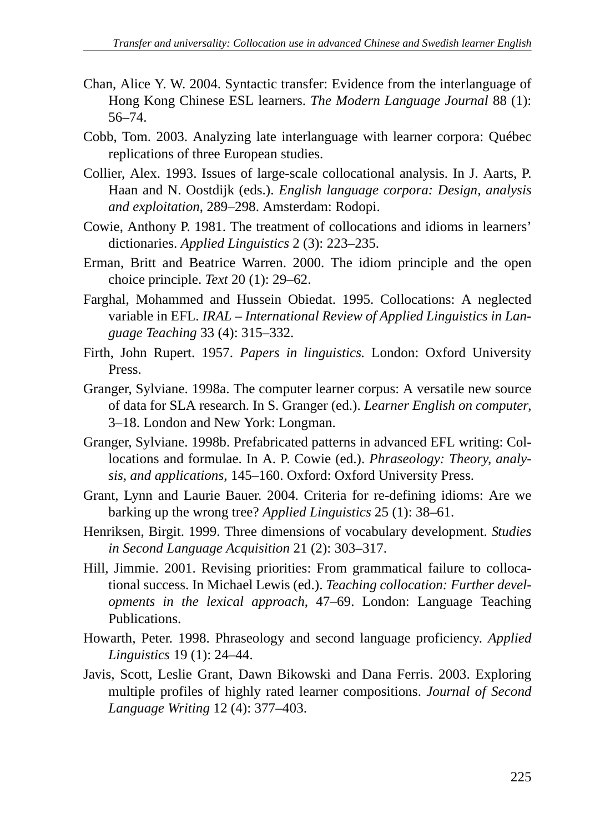- Chan, Alice Y. W. 2004. Syntactic transfer: Evidence from the interlanguage of Hong Kong Chinese ESL learners. *The Modern Language Journal* 88 (1): 56–74.
- Cobb, Tom. 2003. Analyzing late interlanguage with learner corpora: Québec replications of three European studies.
- Collier, Alex. 1993. Issues of large-scale collocational analysis. In J. Aarts, P. Haan and N. Oostdijk (eds.). *English language corpora: Design, analysis and exploitation*, 289–298. Amsterdam: Rodopi.
- Cowie, Anthony P. 1981. The treatment of collocations and idioms in learners' dictionaries. *Applied Linguistics* 2 (3): 223–235.
- Erman, Britt and Beatrice Warren. 2000. The idiom principle and the open choice principle. *Text* 20 (1): 29–62.
- Farghal, Mohammed and Hussein Obiedat. 1995. Collocations: A neglected variable in EFL. *IRAL – International Review of Applied Linguistics in Language Teaching* 33 (4): 315–332.
- Firth, John Rupert. 1957. *Papers in linguistics.* London: Oxford University Press.
- Granger, Sylviane. 1998a. The computer learner corpus: A versatile new source of data for SLA research. In S. Granger (ed.). *Learner English on computer*, 3–18. London and New York: Longman.
- Granger, Sylviane. 1998b. Prefabricated patterns in advanced EFL writing: Collocations and formulae. In A. P. Cowie (ed.). *Phraseology: Theory, analysis, and applications*, 145–160. Oxford: Oxford University Press.
- Grant, Lynn and Laurie Bauer. 2004. Criteria for re-defining idioms: Are we barking up the wrong tree? *Applied Linguistics* 25 (1): 38–61.
- Henriksen, Birgit. 1999. Three dimensions of vocabulary development. *Studies in Second Language Acquisition* 21 (2): 303–317.
- Hill, Jimmie. 2001. Revising priorities: From grammatical failure to collocational success. In Michael Lewis (ed.). *Teaching collocation: Further developments in the lexical approach*, 47–69. London: Language Teaching Publications.
- Howarth, Peter. 1998. Phraseology and second language proficiency. *Applied Linguistics* 19 (1): 24–44.
- Javis, Scott, Leslie Grant, Dawn Bikowski and Dana Ferris. 2003. Exploring multiple profiles of highly rated learner compositions. *Journal of Second Language Writing* 12 (4): 377–403.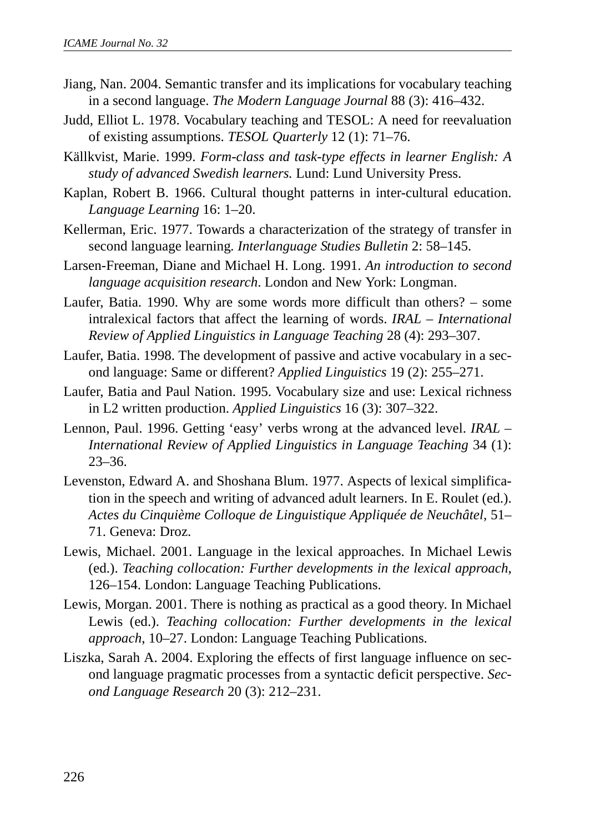- Jiang, Nan. 2004. Semantic transfer and its implications for vocabulary teaching in a second language. *The Modern Language Journal* 88 (3): 416–432.
- Judd, Elliot L. 1978. Vocabulary teaching and TESOL: A need for reevaluation of existing assumptions. *TESOL Quarterly* 12 (1): 71–76.
- Källkvist, Marie. 1999. *Form-class and task-type effects in learner English: A study of advanced Swedish learners.* Lund: Lund University Press.
- Kaplan, Robert B. 1966. Cultural thought patterns in inter-cultural education. *Language Learning* 16: 1–20.
- Kellerman, Eric. 1977. Towards a characterization of the strategy of transfer in second language learning*. Interlanguage Studies Bulletin* 2: 58–145.
- Larsen-Freeman, Diane and Michael H. Long. 1991. *An introduction to second language acquisition research*. London and New York: Longman.
- Laufer, Batia. 1990. Why are some words more difficult than others? some intralexical factors that affect the learning of words. *IRAL – International Review of Applied Linguistics in Language Teaching* 28 (4): 293–307.
- Laufer, Batia. 1998. The development of passive and active vocabulary in a second language: Same or different? *Applied Linguistics* 19 (2): 255–271.
- Laufer, Batia and Paul Nation. 1995. Vocabulary size and use: Lexical richness in L2 written production. *Applied Linguistics* 16 (3): 307–322.
- Lennon, Paul. 1996. Getting 'easy' verbs wrong at the advanced level. *IRAL – International Review of Applied Linguistics in Language Teaching* 34 (1): 23–36.
- Levenston, Edward A. and Shoshana Blum. 1977. Aspects of lexical simplification in the speech and writing of advanced adult learners. In E. Roulet (ed.). *Actes du Cinquième Colloque de Linguistique Appliquée de Neuchâtel*, 51– 71. Geneva: Droz.
- Lewis, Michael. 2001. Language in the lexical approaches. In Michael Lewis (ed.). *Teaching collocation: Further developments in the lexical approach*, 126–154. London: Language Teaching Publications.
- Lewis, Morgan. 2001. There is nothing as practical as a good theory. In Michael Lewis (ed.). *Teaching collocation: Further developments in the lexical approach*, 10–27. London: Language Teaching Publications.
- Liszka, Sarah A. 2004. Exploring the effects of first language influence on second language pragmatic processes from a syntactic deficit perspective. *Second Language Research* 20 (3): 212–231.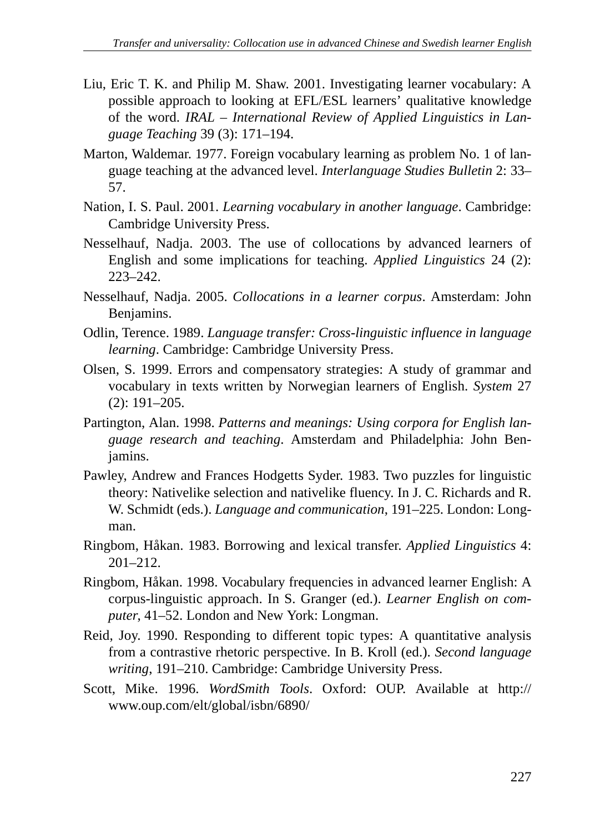- Liu, Eric T. K. and Philip M. Shaw. 2001. Investigating learner vocabulary: A possible approach to looking at EFL/ESL learners' qualitative knowledge of the word. *IRAL – International Review of Applied Linguistics in Language Teaching* 39 (3): 171–194.
- Marton, Waldemar. 1977. Foreign vocabulary learning as problem No. 1 of language teaching at the advanced level. *Interlanguage Studies Bulletin* 2: 33– 57.
- Nation, I. S. Paul. 2001. *Learning vocabulary in another language*. Cambridge: Cambridge University Press.
- Nesselhauf, Nadja. 2003. The use of collocations by advanced learners of English and some implications for teaching. *Applied Linguistics* 24 (2): 223–242.
- Nesselhauf, Nadja. 2005. *Collocations in a learner corpus*. Amsterdam: John Benjamins.
- Odlin, Terence. 1989. *Language transfer: Cross-linguistic influence in language learning*. Cambridge: Cambridge University Press.
- Olsen, S. 1999. Errors and compensatory strategies: A study of grammar and vocabulary in texts written by Norwegian learners of English. *System* 27 (2): 191–205.
- Partington, Alan. 1998. *Patterns and meanings: Using corpora for English language research and teaching*. Amsterdam and Philadelphia: John Benjamins.
- Pawley, Andrew and Frances Hodgetts Syder. 1983. Two puzzles for linguistic theory: Nativelike selection and nativelike fluency. In J. C. Richards and R. W. Schmidt (eds.). *Language and communication*, 191–225. London: Longman.
- Ringbom, Håkan. 1983. Borrowing and lexical transfer. *Applied Linguistics* 4: 201–212.
- Ringbom, Håkan. 1998. Vocabulary frequencies in advanced learner English: A corpus-linguistic approach. In S. Granger (ed.). *Learner English on computer*, 41–52. London and New York: Longman.
- Reid, Joy. 1990. Responding to different topic types: A quantitative analysis from a contrastive rhetoric perspective. In B. Kroll (ed.). *Second language writing*, 191–210. Cambridge: Cambridge University Press.
- Scott, Mike. 1996. *WordSmith Tools*. Oxford: OUP. Available at http:// www.oup.com/elt/global/isbn/6890/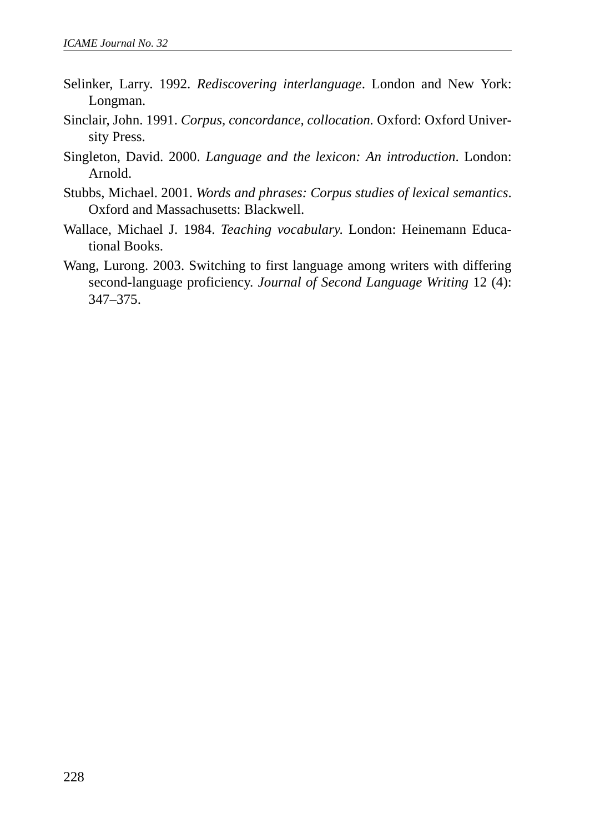- Selinker, Larry. 1992. *Rediscovering interlanguage*. London and New York: Longman.
- Sinclair, John. 1991. *Corpus, concordance, collocation.* Oxford: Oxford University Press.
- Singleton, David. 2000. *Language and the lexicon: An introduction*. London: Arnold.
- Stubbs, Michael. 2001. *Words and phrases: Corpus studies of lexical semantics*. Oxford and Massachusetts: Blackwell.
- Wallace, Michael J. 1984. *Teaching vocabulary*. London: Heinemann Educational Books.
- Wang, Lurong. 2003. Switching to first language among writers with differing second-language proficiency. *Journal of Second Language Writing* 12 (4): 347–375.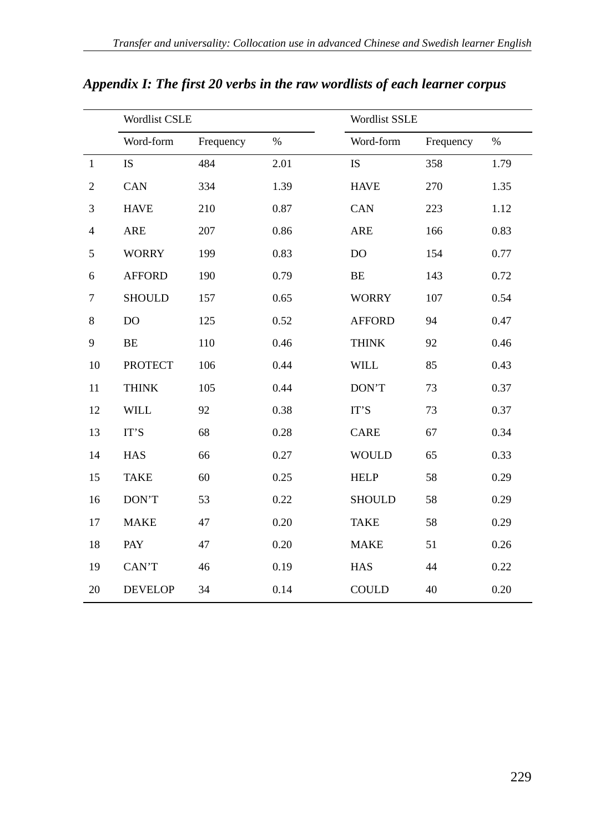|                             | <b>Wordlist CSLE</b> |           |      | Wordlist SSLE |           |      |
|-----------------------------|----------------------|-----------|------|---------------|-----------|------|
|                             | Word-form            | Frequency | $\%$ | Word-form     | Frequency | $\%$ |
| $\mathbf{1}$                | <b>IS</b>            | 484       | 2.01 | <b>IS</b>     | 358       | 1.79 |
| $\mathfrak{2}$              | CAN                  | 334       | 1.39 | <b>HAVE</b>   | 270       | 1.35 |
| $\ensuremath{\mathfrak{Z}}$ | <b>HAVE</b>          | 210       | 0.87 | CAN           | 223       | 1.12 |
| $\overline{4}$              | ARE                  | 207       | 0.86 | ARE           | 166       | 0.83 |
| 5                           | <b>WORRY</b>         | 199       | 0.83 | DO            | 154       | 0.77 |
| 6                           | <b>AFFORD</b>        | 190       | 0.79 | BE            | 143       | 0.72 |
| 7                           | <b>SHOULD</b>        | 157       | 0.65 | <b>WORRY</b>  | 107       | 0.54 |
| 8                           | D <sub>O</sub>       | 125       | 0.52 | <b>AFFORD</b> | 94        | 0.47 |
| 9                           | BE                   | 110       | 0.46 | <b>THINK</b>  | 92        | 0.46 |
| 10                          | <b>PROTECT</b>       | 106       | 0.44 | <b>WILL</b>   | 85        | 0.43 |
| 11                          | <b>THINK</b>         | 105       | 0.44 | DON'T         | 73        | 0.37 |
| 12                          | <b>WILL</b>          | 92        | 0.38 | IT'S          | 73        | 0.37 |
| 13                          | IT'S                 | 68        | 0.28 | CARE          | 67        | 0.34 |
| 14                          | <b>HAS</b>           | 66        | 0.27 | <b>WOULD</b>  | 65        | 0.33 |
| 15                          | <b>TAKE</b>          | 60        | 0.25 | <b>HELP</b>   | 58        | 0.29 |
| 16                          | DON'T                | 53        | 0.22 | <b>SHOULD</b> | 58        | 0.29 |
| 17                          | <b>MAKE</b>          | 47        | 0.20 | <b>TAKE</b>   | 58        | 0.29 |
| 18                          | PAY                  | 47        | 0.20 | <b>MAKE</b>   | 51        | 0.26 |
| 19                          | CAN'T                | 46        | 0.19 | HAS           | 44        | 0.22 |
| 20                          | <b>DEVELOP</b>       | 34        | 0.14 | <b>COULD</b>  | 40        | 0.20 |

*Appendix I: The first 20 verbs in the raw wordlists of each learner corpus*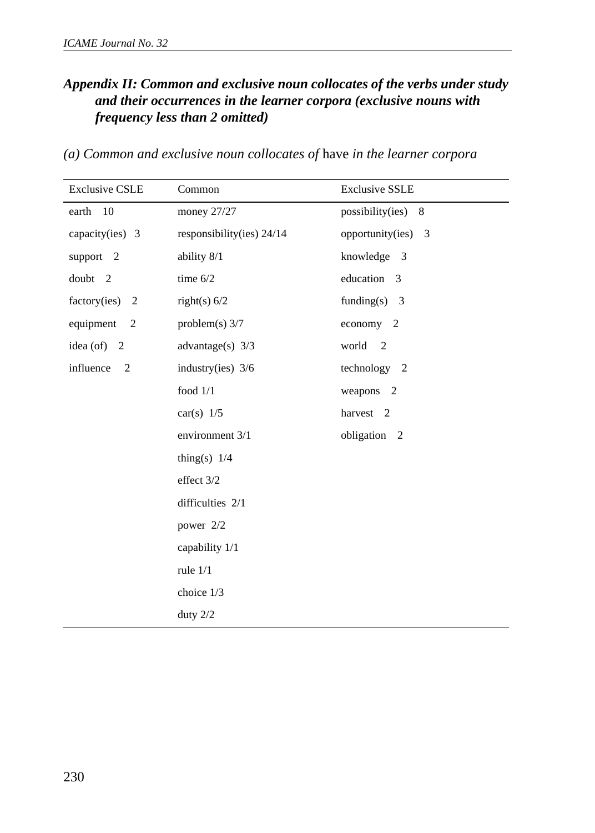## *Appendix II: Common and exclusive noun collocates of the verbs under study and their occurrences in the learner corpora (exclusive nouns with frequency less than 2 omitted)*

| <b>Exclusive CSLE</b>       | Common                      | <b>Exclusive SSLE</b> |
|-----------------------------|-----------------------------|-----------------------|
| earth 10                    | money 27/27                 | possibility(ies) 8    |
| capacity(ies) $3$           | responsibility(ies) $24/14$ | opportunity(ies) $3$  |
| support 2                   | ability 8/1                 | knowledge 3           |
| doubt 2                     | time $6/2$                  | education 3           |
| factory(ies) $2$            | right(s) $6/2$              | funding(s) $3$        |
| equipment 2                 | problem(s) $3/7$            | economy 2             |
| idea (of) $2$               | advantage(s) $3/3$          | world 2               |
| influence<br>$\overline{2}$ | industry(ies) $3/6$         | technology 2          |
|                             | food $1/1$                  | weapons 2             |
|                             | car(s) $1/5$                | harvest 2             |
|                             | environment 3/1             | obligation 2          |
|                             | thing(s) $1/4$              |                       |
|                             | effect 3/2                  |                       |
|                             | difficulties 2/1            |                       |
|                             | power 2/2                   |                       |
|                             | capability 1/1              |                       |
|                             | rule $1/1$                  |                       |
|                             | choice 1/3                  |                       |
|                             | duty $2/2$                  |                       |

*(a) Common and exclusive noun collocates of* have *in the learner corpora*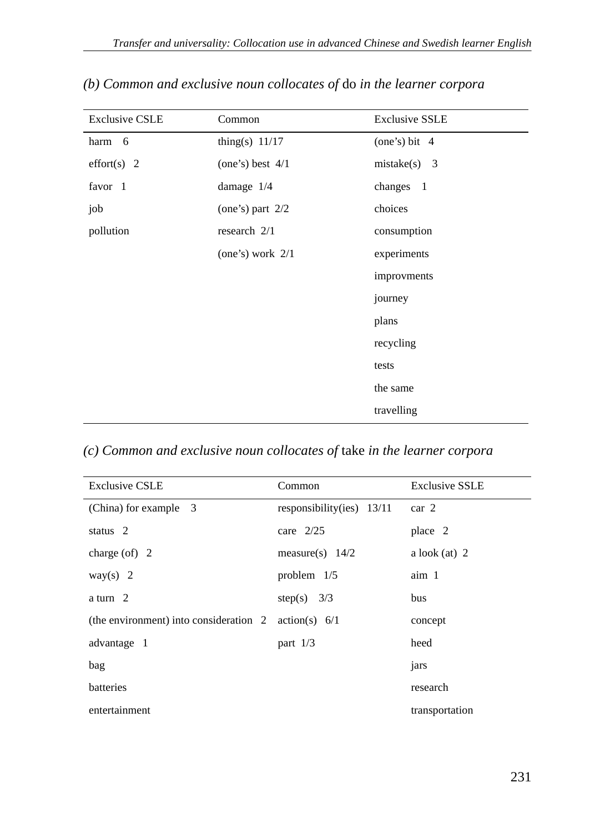| <b>Exclusive CSLE</b> | Common             | <b>Exclusive SSLE</b> |
|-----------------------|--------------------|-----------------------|
| harm 6                | thing(s) $11/17$   | (one's) bit $4$       |
| effort $(s)$ 2        | (one's) best $4/1$ | $mistake(s)$ 3        |
| favor 1               | damage 1/4         | changes 1             |
| job                   | (one's) part $2/2$ | choices               |
| pollution             | research $2/1$     | consumption           |
|                       | (one's) work $2/1$ | experiments           |
|                       |                    | improvments           |
|                       |                    | journey               |
|                       |                    | plans                 |
|                       |                    | recycling             |
|                       |                    | tests                 |
|                       |                    | the same              |
|                       |                    | travelling            |

## *(b) Common and exclusive noun collocates of* do *in the learner corpora*

## *(c) Common and exclusive noun collocates of* take *in the learner corpora*

| <b>Exclusive CSLE</b>                  | Common                      | <b>Exclusive SSLE</b> |
|----------------------------------------|-----------------------------|-----------------------|
| (China) for example 3                  | responsibility(ies) $13/11$ | car <sub>2</sub>      |
| status 2                               | care $2/25$                 | place 2               |
| charge $($ of $)$ 2                    | measure(s) $14/2$           | a look $(at)$ 2       |
| way(s) $2$                             | problem $1/5$               | aim 1                 |
| a turn 2                               | step(s) $3/3$               | bus                   |
| (the environment) into consideration 2 | action(s) 6/1               | concept               |
| advantage 1                            | part $1/3$                  | heed                  |
| bag                                    |                             | jars                  |
| batteries                              |                             | research              |
| entertainment                          |                             | transportation        |